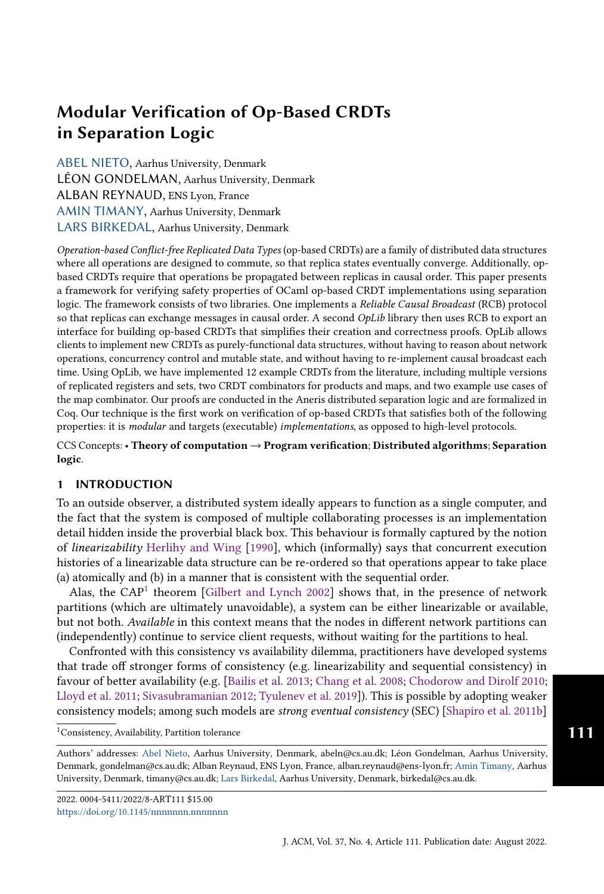[ABEL NIETO,](HTTPS://ORCID.ORG/0000-0003-2741-8119) Aarhus University, Denmark LÉON GONDELMAN, Aarhus University, Denmark ALBAN REYNAUD, ENS Lyon, France [AMIN TIMANY,](HTTPS://ORCID.ORG/0000-0002-2237-851X) Aarhus University, Denmark [LARS BIRKEDAL,](HTTPS://ORCID.ORG/0000-0003-1320-0098) Aarhus University, Denmark

Operation-based Conflict-free Replicated Data Types (op-based CRDTs) are a family of distributed data structures where all operations are designed to commute, so that replica states eventually converge. Additionally, opbased CRDTs require that operations be propagated between replicas in causal order. This paper presents a framework for verifying safety properties of OCaml op-based CRDT implementations using separation logic. The framework consists of two libraries. One implements a Reliable Causal Broadcast (RCB) protocol so that replicas can exchange messages in causal order. A second *OpLib* library then uses RCB to export an interface for building op-based CRDTs that simplifies their creation and correctness proofs. OpLib allows clients to implement new CRDTs as purely-functional data structures, without having to reason about network operations, concurrency control and mutable state, and without having to re-implement causal broadcast each time. Using OpLib, we have implemented 12 example CRDTs from the literature, including multiple versions of replicated registers and sets, two CRDT combinators for products and maps, and two example use cases of the map combinator. Our proofs are conducted in the Aneris distributed separation logic and are formalized in Coq. Our technique is the first work on verification of op-based CRDTs that satisfies both of the following properties: it is modular and targets (executable) implementations, as opposed to high-level protocols.

CCS Concepts: • Theory of computation → Program verification; Distributed algorithms; Separation logic.

## 1 INTRODUCTION

To an outside observer, a distributed system ideally appears to function as a single computer, and the fact that the system is composed of multiple collaborating processes is an implementation detail hidden inside the proverbial black box. This behaviour is formally captured by the notion of linearizability [Herlihy and Wing](#page-23-0) [\[1990\]](#page-23-0), which (informally) says that concurrent execution histories of a linearizable data structure can be re-ordered so that operations appear to take place (a) atomically and (b) in a manner that is consistent with the sequential order.

Alas, the  $CAP<sup>1</sup>$  $CAP<sup>1</sup>$  $CAP<sup>1</sup>$  theorem [\[Gilbert and Lynch](#page-23-1) [2002\]](#page-23-1) shows that, in the presence of network partitions (which are ultimately unavoidable), a system can be either linearizable or available, but not both. Available in this context means that the nodes in different network partitions can (independently) continue to service client requests, without waiting for the partitions to heal.

Confronted with this consistency vs availability dilemma, practitioners have developed systems that trade off stronger forms of consistency (e.g. linearizability and sequential consistency) in favour of better availability (e.g. [\[Bailis et al.](#page-23-2) [2013;](#page-23-2) [Chang et al.](#page-23-3) [2008;](#page-23-3) [Chodorow and Dirolf](#page-23-4) [2010;](#page-23-4) [Lloyd et al.](#page-24-0) [2011;](#page-24-0) [Sivasubramanian](#page-24-1) [2012;](#page-24-1) [Tyulenev et al.](#page-24-2) [2019\]](#page-24-2)). This is possible by adopting weaker consistency models; among such models are strong eventual consistency (SEC) [\[Shapiro et al.](#page-24-3) [2011b\]](#page-24-3)

<span id="page-0-0"></span><sup>1</sup>Consistency, Availability, Partition tolerance

Authors' addresses: [Abel Nieto,](https://orcid.org/0000-0003-2741-8119) Aarhus University, Denmark, abeln@cs.au.dk; Léon Gondelman, Aarhus University, Denmark, gondelman@cs.au.dk; Alban Reynaud, ENS Lyon, France, alban.reynaud@ens-lyon.fr; [Amin Timany,](https://orcid.org/0000-0002-2237-851X) Aarhus University, Denmark, timany@cs.au.dk; [Lars Birkedal,](https://orcid.org/0000-0003-1320-0098) Aarhus University, Denmark, birkedal@cs.au.dk.

2022. 0004-5411/2022/8-ART111 \$15.00 <https://doi.org/10.1145/nnnnnnn.nnnnnnn>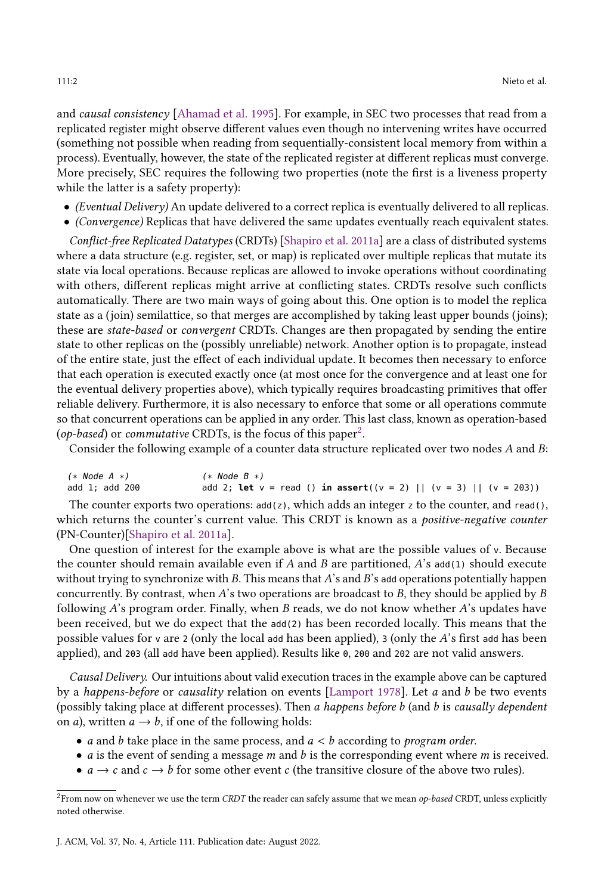and causal consistency [\[Ahamad et al.](#page-23-5) [1995\]](#page-23-5). For example, in SEC two processes that read from a replicated register might observe different values even though no intervening writes have occurred (something not possible when reading from sequentially-consistent local memory from within a process). Eventually, however, the state of the replicated register at different replicas must converge. More precisely, SEC requires the following two properties (note the first is a liveness property while the latter is a safety property):

- (Eventual Delivery) An update delivered to a correct replica is eventually delivered to all replicas.
- (Convergence) Replicas that have delivered the same updates eventually reach equivalent states.

Conflict-free Replicated Datatypes (CRDTs) [\[Shapiro et al.](#page-24-4) [2011a\]](#page-24-4) are a class of distributed systems where a data structure (e.g. register, set, or map) is replicated over multiple replicas that mutate its state via local operations. Because replicas are allowed to invoke operations without coordinating with others, different replicas might arrive at conflicting states. CRDTs resolve such conflicts automatically. There are two main ways of going about this. One option is to model the replica state as a (join) semilattice, so that merges are accomplished by taking least upper bounds (joins); these are state-based or convergent CRDTs. Changes are then propagated by sending the entire state to other replicas on the (possibly unreliable) network. Another option is to propagate, instead of the entire state, just the effect of each individual update. It becomes then necessary to enforce that each operation is executed exactly once (at most once for the convergence and at least one for the eventual delivery properties above), which typically requires broadcasting primitives that offer reliable delivery. Furthermore, it is also necessary to enforce that some or all operations commute so that concurrent operations can be applied in any order. This last class, known as operation-based (op-based) or commutative CRDTs, is the focus of this paper<sup>[2](#page-1-0)</sup>.

Consider the following example of a counter data structure replicated over two nodes  $A$  and  $B$ :

| $(*\;Node\;A\;*)$ | $(*$ Node B $*)$                                                                                      |
|-------------------|-------------------------------------------------------------------------------------------------------|
| add 1; add 200    | add 2; <b>let</b> $v = \text{read}$ () <b>in assert</b> (( $v = 2$ )    ( $v = 3$ )    ( $v = 203$ )) |

The counter exports two operations:  $add(z)$ , which adds an integer z to the counter, and read(), which returns the counter's current value. This CRDT is known as a *positive-negative counter* (PN-Counter)[\[Shapiro et al.](#page-24-4) [2011a\]](#page-24-4).

One question of interest for the example above is what are the possible values of <sup>v</sup>. Because the counter should remain available even if  $A$  and  $B$  are partitioned,  $A$ 's add(1) should execute without trying to synchronize with B. This means that  $A$ 's and  $B$ 's add operations potentially happen concurrently. By contrast, when  $A$ 's two operations are broadcast to  $B$ , they should be applied by  $B$ following  $A$ 's program order. Finally, when  $B$  reads, we do not know whether  $A$ 's updates have been received, but we do expect that the add(2) has been recorded locally. This means that the possible values for v are 2 (only the local add has been applied), 3 (only the  $A$ 's first add has been applied), and <sup>203</sup> (all add have been applied). Results like <sup>0</sup>, <sup>200</sup> and <sup>202</sup> are not valid answers.

Causal Delivery. Our intuitions about valid execution traces in the example above can be captured by a happens-before or causality relation on events [\[Lamport](#page-24-5) [1978\]](#page-24-5). Let  $a$  and  $b$  be two events (possibly taking place at different processes). Then  $a$  happens before  $b$  (and  $b$  is causally dependent on *a*), written  $a \rightarrow b$ , if one of the following holds:

- *a* and *b* take place in the same process, and  $a < b$  according to *program order*.
- *a* is the event of sending a message *m* and *b* is the corresponding event where *m* is received.
- $a \rightarrow c$  and  $c \rightarrow b$  for some other event c (the transitive closure of the above two rules).

<span id="page-1-0"></span> $2$ From now on whenever we use the term CRDT the reader can safely assume that we mean op-based CRDT, unless explicitly noted otherwise.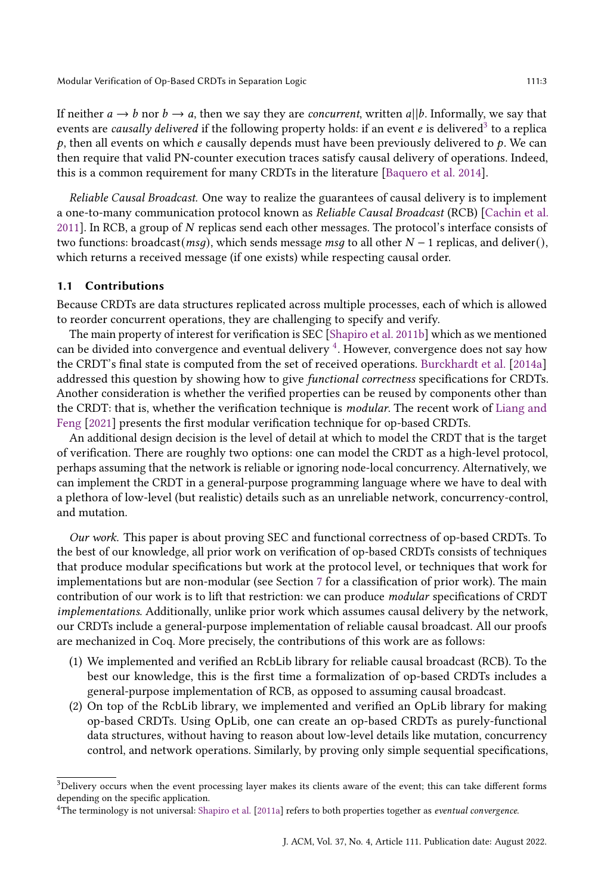If neither  $a \rightarrow b$  nor  $b \rightarrow a$ , then we say they are *concurrent*, written  $a||b$ . Informally, we say that events are causally delivered if the following property holds: if an event e is delivered<sup>[3](#page-2-0)</sup> to a replica  $p$ , then all events on which  $e$  causally depends must have been previously delivered to  $p$ . We can then require that valid PN-counter execution traces satisfy causal delivery of operations. Indeed, this is a common requirement for many CRDTs in the literature [\[Baquero et al.](#page-23-6) [2014\]](#page-23-6).

Reliable Causal Broadcast. One way to realize the guarantees of causal delivery is to implement a one-to-many communication protocol known as Reliable Causal Broadcast (RCB) [\[Cachin et al.](#page-23-7) [2011\]](#page-23-7). In RCB, a group of  $N$  replicas send each other messages. The protocol's interface consists of two functions: broadcast( $msg$ ), which sends message  $msg$  to all other  $N-1$  replicas, and deliver(), which returns a received message (if one exists) while respecting causal order.

#### 1.1 Contributions

Because CRDTs are data structures replicated across multiple processes, each of which is allowed to reorder concurrent operations, they are challenging to specify and verify.

The main property of interest for verification is SEC [\[Shapiro et al.](#page-24-3) [2011b\]](#page-24-3) which as we mentioned can be divided into convergence and eventual delivery  $4$ . However, convergence does not say how the CRDT's final state is computed from the set of received operations. [Burckhardt et al.](#page-23-8) [\[2014a\]](#page-23-8) addressed this question by showing how to give functional correctness specifications for CRDTs. Another consideration is whether the verified properties can be reused by components other than the CRDT: that is, whether the verification technique is modular. The recent work of [Liang and](#page-24-6) [Feng](#page-24-6) [\[2021\]](#page-24-6) presents the first modular verification technique for op-based CRDTs.

An additional design decision is the level of detail at which to model the CRDT that is the target of verification. There are roughly two options: one can model the CRDT as a high-level protocol, perhaps assuming that the network is reliable or ignoring node-local concurrency. Alternatively, we can implement the CRDT in a general-purpose programming language where we have to deal with a plethora of low-level (but realistic) details such as an unreliable network, concurrency-control, and mutation.

Our work. This paper is about proving SEC and functional correctness of op-based CRDTs. To the best of our knowledge, all prior work on verification of op-based CRDTs consists of techniques that produce modular specifications but work at the protocol level, or techniques that work for implementations but are non-modular (see Section [7](#page-20-0) for a classification of prior work). The main contribution of our work is to lift that restriction: we can produce modular specifications of CRDT implementations. Additionally, unlike prior work which assumes causal delivery by the network, our CRDTs include a general-purpose implementation of reliable causal broadcast. All our proofs are mechanized in Coq. More precisely, the contributions of this work are as follows:

- (1) We implemented and verified an RcbLib library for reliable causal broadcast (RCB). To the best our knowledge, this is the first time a formalization of op-based CRDTs includes a general-purpose implementation of RCB, as opposed to assuming causal broadcast.
- (2) On top of the RcbLib library, we implemented and verified an OpLib library for making op-based CRDTs. Using OpLib, one can create an op-based CRDTs as purely-functional data structures, without having to reason about low-level details like mutation, concurrency control, and network operations. Similarly, by proving only simple sequential specifications,

<span id="page-2-0"></span><sup>&</sup>lt;sup>3</sup>Delivery occurs when the event processing layer makes its clients aware of the event; this can take different forms depending on the specific application.

<span id="page-2-1"></span><sup>&</sup>lt;sup>4</sup>The terminology is not universal: [Shapiro et al.](#page-24-4) [\[2011a\]](#page-24-4) refers to both properties together as eventual convergence.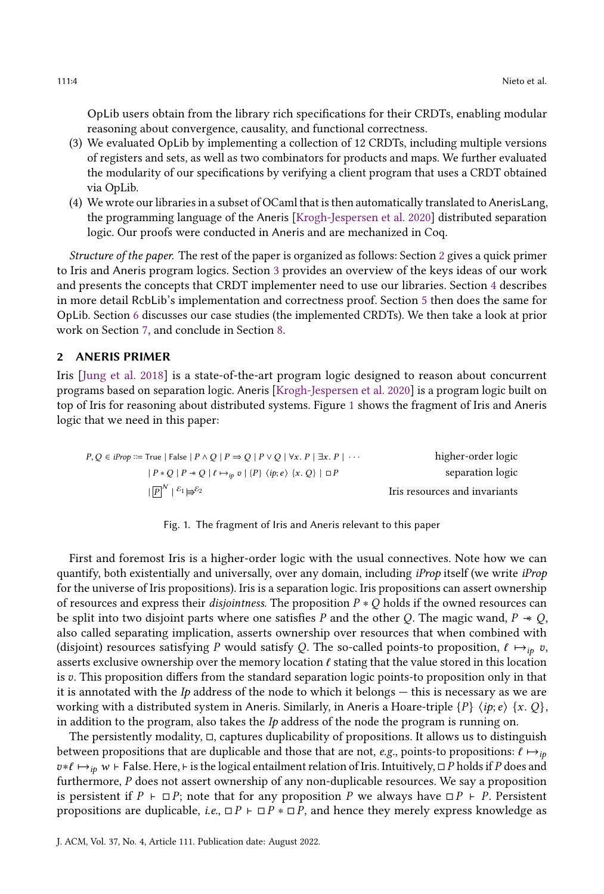OpLib users obtain from the library rich specifications for their CRDTs, enabling modular reasoning about convergence, causality, and functional correctness.

- (3) We evaluated OpLib by implementing a collection of 12 CRDTs, including multiple versions of registers and sets, as well as two combinators for products and maps. We further evaluated the modularity of our specifications by verifying a client program that uses a CRDT obtained via OpLib.
- (4) We wrote our libraries in a subset of OCaml that is then automatically translated to AnerisLang, the programming language of the Aneris [\[Krogh-Jespersen et al.](#page-23-9) [2020\]](#page-23-9) distributed separation logic. Our proofs were conducted in Aneris and are mechanized in Coq.

Structure of the paper. The rest of the paper is organized as follows: Section [2](#page-3-0) gives a quick primer to Iris and Aneris program logics. Section [3](#page-4-0) provides an overview of the keys ideas of our work and presents the concepts that CRDT implementer need to use our libraries. Section [4](#page-7-0) describes in more detail RcbLib's implementation and correctness proof. Section [5](#page-13-0) then does the same for OpLib. Section [6](#page-18-0) discusses our case studies (the implemented CRDTs). We then take a look at prior work on Section [7,](#page-20-0) and conclude in Section [8.](#page-22-0)

## <span id="page-3-0"></span>2 ANERIS PRIMER

Iris [\[Jung et al.](#page-23-10) [2018\]](#page-23-10) is a state-of-the-art program logic designed to reason about concurrent programs based on separation logic. Aneris [\[Krogh-Jespersen et al.](#page-23-9) [2020\]](#page-23-9) is a program logic built on top of Iris for reasoning about distributed systems. Figure [1](#page-3-1) shows the fragment of Iris and Aneris logic that we need in this paper:

<span id="page-3-1"></span>
$$
P,Q \in iProp ::= True \mid False \mid P \land Q \mid P \Rightarrow Q \mid P \lor Q \mid \forall x. P \mid \exists x. P \mid \cdots
$$
\n
$$
\mid P * Q \mid P \prec Q \mid \ell \mapsto_{ip} v \mid \{P\} \langle ip; e \rangle \{x. Q\} \mid \Box P
$$
\n
$$
\mid \boxed{P}^N \mid \stackrel{\varepsilon_1}{\mapsto} \not\models \stackrel{\varepsilon_2}{\mapsto} \qquad \qquad \text{Tris resources and invariants}
$$

Fig. 1. The fragment of Iris and Aneris relevant to this paper

First and foremost Iris is a higher-order logic with the usual connectives. Note how we can quantify, both existentially and universally, over any domain, including iProp itself (we write iProp for the universe of Iris propositions). Iris is a separation logic. Iris propositions can assert ownership of resources and express their *disjointness*. The proposition  $P * Q$  holds if the owned resources can be split into two disjoint parts where one satisfies P and the other Q. The magic wand,  $P \ast Q$ , also called separating implication, asserts ownership over resources that when combined with (disjoint) resources satisfying P would satisfy Q. The so-called points-to proposition,  $\ell \mapsto_{in} v$ , asserts exclusive ownership over the memory location  $\ell$  stating that the value stored in this location is  $v$ . This proposition differs from the standard separation logic points-to proposition only in that it is annotated with the Ip address of the node to which it belongs  $-$  this is necessary as we are working with a distributed system in Aneris. Similarly, in Aneris a Hoare-triple  $\{P\}$   $\{ip; e\}$   $\{x, Q\}$ , in addition to the program, also takes the  $I_p$  address of the node the program is running on.

The persistently modality,  $\Box$ , captures duplicability of propositions. It allows us to distinguish between propositions that are duplicable and those that are not, e.g., points-to propositions:  $\ell \mapsto_{ip}$  $v * \ell \mapsto_{ip} w \vdash$  False. Here, ⊢ is the logical entailment relation of Iris. Intuitively,  $\Box P$  holds if  $P$  does and furthermore,  $P$  does not assert ownership of any non-duplicable resources. We say a proposition is persistent if  $P \vdash \Box P$ ; note that for any proposition P we always have  $\Box P \vdash P$ . Persistent propositions are duplicable, i.e.,  $\Box P \vdash \Box P \ast \Box P$ , and hence they merely express knowledge as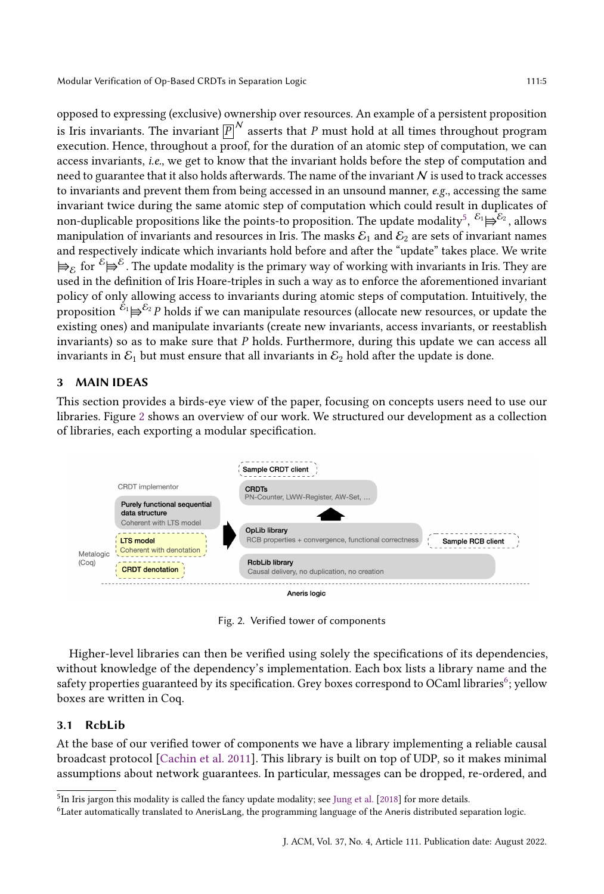opposed to expressing (exclusive) ownership over resources. An example of a persistent proposition is Iris invariants. The invariant  $\overline{P}^N$  asserts that P must hold at all times throughout program execution. Hence, throughout a proof, for the duration of an atomic step of computation, we can access invariants, i.e., we get to know that the invariant holds before the step of computation and need to guarantee that it also holds afterwards. The name of the invariant  $N$  is used to track accesses to invariants and prevent them from being accessed in an unsound manner, e.g., accessing the same invariant twice during the same atomic step of computation which could result in duplicates of non-duplicable propositions like the points-to proposition. The update modality<sup>[5](#page-4-1)</sup>,  $\epsilon_1 \mapsto \epsilon_2$ , allows manipulation of invariants and resources in Iris. The masks  $\mathcal{E}_1$  and  $\mathcal{E}_2$  are sets of invariant names and respectively indicate which invariants hold before and after the "update" takes place. We write  $\models_\mathcal{E}$  for  ${}^\mathcal{E} \!\! \models^{\mathcal{E}}$  . The update modality is the primary way of working with invariants in Iris. They are used in the definition of Iris Hoare-triples in such a way as to enforce the aforementioned invariant policy of only allowing access to invariants during atomic steps of computation. Intuitively, the proposition  ${}^{{\cal E}_1} \! \rightrightarrows^{{\cal E}_2} P$  holds if we can manipulate resources (allocate new resources, or update the existing ones) and manipulate invariants (create new invariants, access invariants, or reestablish invariants) so as to make sure that  $P$  holds. Furthermore, during this update we can access all invariants in  $\mathcal{E}_1$  but must ensure that all invariants in  $\mathcal{E}_2$  hold after the update is done.

## <span id="page-4-0"></span>3 MAIN IDEAS

This section provides a birds-eye view of the paper, focusing on concepts users need to use our libraries. Figure [2](#page-4-2) shows an overview of our work. We structured our development as a collection of libraries, each exporting a modular specification.

<span id="page-4-2"></span>

Fig. 2. Verified tower of components

Higher-level libraries can then be verified using solely the specifications of its dependencies, without knowledge of the dependency's implementation. Each box lists a library name and the safety properties guaranteed by its specification. Grey boxes correspond to OCaml libraries<sup>[6](#page-4-3)</sup>; vellow boxes are written in Coq.

### <span id="page-4-4"></span>3.1 RcbLib

At the base of our verified tower of components we have a library implementing a reliable causal broadcast protocol [\[Cachin et al.](#page-23-7) [2011\]](#page-23-7). This library is built on top of UDP, so it makes minimal assumptions about network guarantees. In particular, messages can be dropped, re-ordered, and

<span id="page-4-1"></span><sup>&</sup>lt;sup>5</sup>In Iris jargon this modality is called the fancy update modality; see [Jung et al.](#page-23-10) [\[2018\]](#page-23-10) for more details.

<span id="page-4-3"></span><sup>6</sup>Later automatically translated to AnerisLang, the programming language of the Aneris distributed separation logic.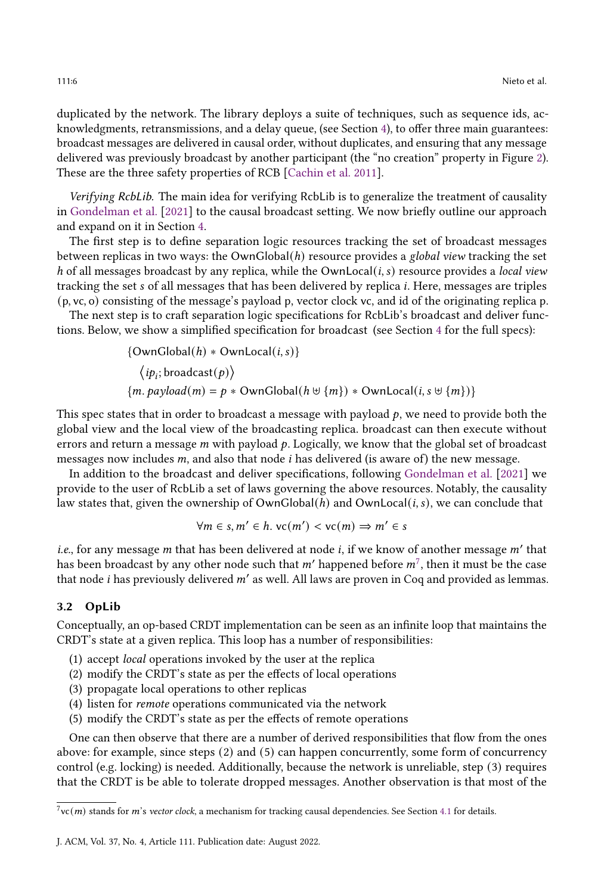duplicated by the network. The library deploys a suite of techniques, such as sequence ids, acknowledgments, retransmissions, and a delay queue, (see Section [4\)](#page-7-0), to offer three main guarantees: broadcast messages are delivered in causal order, without duplicates, and ensuring that any message delivered was previously broadcast by another participant (the "no creation" property in Figure [2\)](#page-4-2). These are the three safety properties of RCB [\[Cachin et al.](#page-23-7) [2011\]](#page-23-7).

Verifying RcbLib. The main idea for verifying RcbLib is to generalize the treatment of causality in [Gondelman et al.](#page-23-11) [\[2021\]](#page-23-11) to the causal broadcast setting. We now briefly outline our approach and expand on it in Section [4.](#page-7-0)

The first step is to define separation logic resources tracking the set of broadcast messages between replicas in two ways: the  $OwnGlobal(h)$  resource provides a *global view* tracking the set h of all messages broadcast by any replica, while the OwnLocal( $i, s$ ) resource provides a local view tracking the set s of all messages that has been delivered by replica *i*. Here, messages are triples (p, vc, o) consisting of the message's payload p, vector clock vc, and id of the originating replica p.

The next step is to craft separation logic specifications for RcbLib's broadcast and deliver functions. Below, we show a simplified specification for broadcast (see Section [4](#page-7-0) for the full specs):

$$
\{OwnGlobal(h) * OwnLocal(i, s)\}
$$
  

$$
\langle ip_i; broadcast(p)\rangle
$$
  

$$
\{m. payload(m) = p * OwnGlobal(h \cup \{m\}) * OwnLocal(i, s \cup \{m\})\}
$$

This spec states that in order to broadcast a message with payload  $p$ , we need to provide both the global view and the local view of the broadcasting replica. broadcast can then execute without errors and return a message  $m$  with payload  $p$ . Logically, we know that the global set of broadcast messages now includes  $m$ , and also that node  $i$  has delivered (is aware of) the new message.

In addition to the broadcast and deliver specifications, following [Gondelman et al.](#page-23-11) [\[2021\]](#page-23-11) we provide to the user of RcbLib a set of laws governing the above resources. Notably, the causality law states that, given the ownership of  $OwnGlobal(h)$  and  $OwnLocal(i, s)$ , we can conclude that

$$
\forall m \in s, m' \in h. \, \text{vc}(m') < \text{vc}(m) \Rightarrow m' \in s
$$

*i.e.*, for any message  $m$  that has been delivered at node  $i$ , if we know of another message  $m'$  that has been broadcast by any other node such that m' happened before m<sup>[7](#page-5-0)</sup>, then it must be the case that node *i* has previously delivered  $m'$  as well. All laws are proven in Coq and provided as lemmas.

#### 3.2 OpLib

Conceptually, an op-based CRDT implementation can be seen as an infinite loop that maintains the CRDT's state at a given replica. This loop has a number of responsibilities:

- (1) accept local operations invoked by the user at the replica
- (2) modify the CRDT's state as per the effects of local operations
- (3) propagate local operations to other replicas
- (4) listen for remote operations communicated via the network
- (5) modify the CRDT's state as per the effects of remote operations

One can then observe that there are a number of derived responsibilities that flow from the ones above: for example, since steps (2) and (5) can happen concurrently, some form of concurrency control (e.g. locking) is needed. Additionally, because the network is unreliable, step (3) requires that the CRDT is be able to tolerate dropped messages. Another observation is that most of the

<span id="page-5-0"></span> $^{7}$ vc $(m)$  stands for  $m$ 's vector clock, a mechanism for tracking causal dependencies. See Section [4.1](#page-7-1) for details.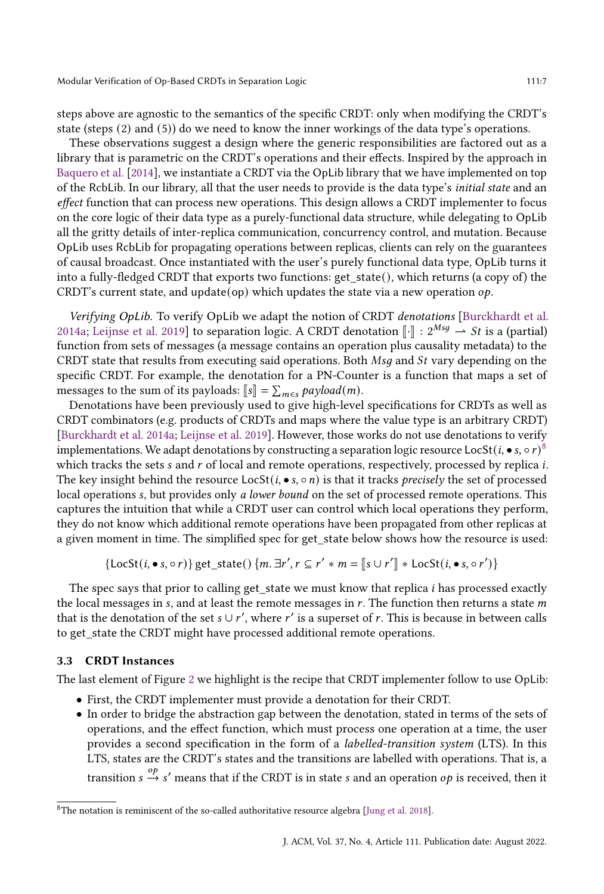steps above are agnostic to the semantics of the specific CRDT: only when modifying the CRDT's state (steps (2) and (5)) do we need to know the inner workings of the data type's operations.

These observations suggest a design where the generic responsibilities are factored out as a library that is parametric on the CRDT's operations and their effects. Inspired by the approach in [Baquero et al.](#page-23-6) [\[2014\]](#page-23-6), we instantiate a CRDT via the OpLib library that we have implemented on top of the RcbLib. In our library, all that the user needs to provide is the data type's initial state and an effect function that can process new operations. This design allows a CRDT implementer to focus on the core logic of their data type as a purely-functional data structure, while delegating to OpLib all the gritty details of inter-replica communication, concurrency control, and mutation. Because OpLib uses RcbLib for propagating operations between replicas, clients can rely on the guarantees of causal broadcast. Once instantiated with the user's purely functional data type, OpLib turns it into a fully-fledged CRDT that exports two functions: get\_state(), which returns (a copy of) the CRDT's current state, and update(op) which updates the state via a new operation  $op$ .

Verifying OpLib. To verify OpLib we adapt the notion of CRDT denotations [\[Burckhardt et al.](#page-23-8) [2014a;](#page-23-8) [Leijnse et al.](#page-24-7) [2019\]](#page-24-7) to separation logic. A CRDT denotation  $\lVert \cdot \rVert$  :  $2^{Msg} \rightarrow St$  is a (partial) function from sets of messages (a message contains an operation plus causality metadata) to the CRDT state that results from executing said operations. Both  $Msq$  and  $St$  vary depending on the specific CRDT. For example, the denotation for a PN-Counter is a function that maps a set of messages to the sum of its payloads:  $[s] = \sum_{m \in s} payload(m)$ .<br>Depote tions have been providedly used to give high lovel

Denotations have been previously used to give high-level specifications for CRDTs as well as CRDT combinators (e.g. products of CRDTs and maps where the value type is an arbitrary CRDT) [\[Burckhardt et al.](#page-23-8) [2014a;](#page-23-8) [Leijnse et al.](#page-24-7) [2019\]](#page-24-7). However, those works do not use denotations to verify implementations. We adapt denotations by constructing a separation logic resource LocSt  $(i, \bullet s, \circ r)^8$  $(i, \bullet s, \circ r)^8$ which tracks the sets  $s$  and  $r$  of local and remote operations, respectively, processed by replica  $i$ . The key insight behind the resource  $\text{LocSt}(i, \bullet s, \circ n)$  is that it tracks *precisely* the set of processed local operations s, but provides only a lower bound on the set of processed remote operations. This captures the intuition that while a CRDT user can control which local operations they perform, they do not know which additional remote operations have been propagated from other replicas at a given moment in time. The simplified spec for get state below shows how the resource is used:

$$
\{\text{LocSt}(i, \bullet s, \circ r)\}\ \text{get\_state}() \ \{m. \ \exists r', r \subseteq r' * m = [\![s \cup r']\!] * \text{LocSt}(i, \bullet s, \circ r')\}
$$

The spec says that prior to calling get\_state we must know that replica  $i$  has processed exactly the local messages in  $s$ , and at least the remote messages in  $r$ . The function then returns a state  $m$ that is the denotation of the set  $s \cup r'$ , where  $r'$  is a superset of  $r$ . This is because in between calls to get\_state the CRDT might have processed additional remote operations.

#### 3.3 CRDT Instances

The last element of Figure [2](#page-4-2) we highlight is the recipe that CRDT implementer follow to use OpLib:

- First, the CRDT implementer must provide a denotation for their CRDT.
- In order to bridge the abstraction gap between the denotation, stated in terms of the sets of operations, and the effect function, which must process one operation at a time, the user provides a second specification in the form of a labelled-transition system (LTS). In this LTS, states are the CRDT's states and the transitions are labelled with operations. That is, a transition  $s \stackrel{op}{\rightarrow} s'$  means that if the CRDT is in state s and an operation  $op$  is received, then it

<span id="page-6-0"></span><sup>8</sup>The notation is reminiscent of the so-called authoritative resource algebra [\[Jung et al.](#page-23-10) [2018\]](#page-23-10).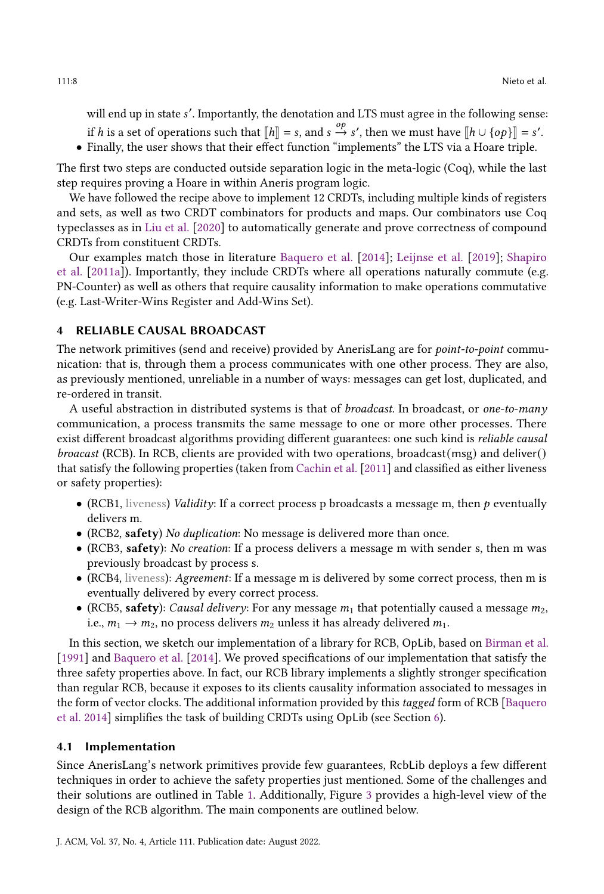will end up in state s'. Importantly, the denotation and LTS must agree in the following sense:

- if h is a set of operations such that  $[[h]] = s$ , and  $s \stackrel{op}{\to} s'$ , then we must have  $[[h \cup \{op\}]] = s'$ .<br>Finally the user shows that their offect function "implements" the LTS via a Hearg triple.
- Finally, the user shows that their effect function "implements" the LTS via a Hoare triple.

The first two steps are conducted outside separation logic in the meta-logic (Coq), while the last step requires proving a Hoare in within Aneris program logic.

We have followed the recipe above to implement 12 CRDTs, including multiple kinds of registers and sets, as well as two CRDT combinators for products and maps. Our combinators use Coq typeclasses as in [Liu et al.](#page-24-8) [\[2020\]](#page-24-8) to automatically generate and prove correctness of compound CRDTs from constituent CRDTs.

Our examples match those in literature [Baquero et al.](#page-23-6) [\[2014\]](#page-23-6); [Leijnse et al.](#page-24-7) [\[2019\]](#page-24-7); [Shapiro](#page-24-4) [et al.](#page-24-4) [\[2011a\]](#page-24-4)). Importantly, they include CRDTs where all operations naturally commute (e.g. PN-Counter) as well as others that require causality information to make operations commutative (e.g. Last-Writer-Wins Register and Add-Wins Set).

### <span id="page-7-0"></span>RELIABLE CAUSAL BROADCAST

The network primitives (send and receive) provided by AnerisLang are for *point-to-point* communication: that is, through them a process communicates with one other process. They are also, as previously mentioned, unreliable in a number of ways: messages can get lost, duplicated, and re-ordered in transit.

A useful abstraction in distributed systems is that of *broadcast*. In broadcast, or *one-to-many* communication, a process transmits the same message to one or more other processes. There exist different broadcast algorithms providing different guarantees: one such kind is reliable causal broacast (RCB). In RCB, clients are provided with two operations, broadcast(msg) and deliver() that satisfy the following properties (taken from [Cachin et al.](#page-23-7) [\[2011\]](#page-23-7) and classified as either liveness or safety properties):

- (RCB1, liveness) Validity: If a correct process p broadcasts a message m, then  $p$  eventually delivers m.
- (RCB2, safety) No duplication: No message is delivered more than once.
- (RCB3, safety): *No creation*: If a process delivers a message m with sender s, then m was previously broadcast by process s.
- (RCB4, liveness): Agreement: If a message m is delivered by some correct process, then m is eventually delivered by every correct process.
- (RCB5, safety): Causal delivery: For any message  $m_1$  that potentially caused a message  $m_2$ , i.e.,  $m_1 \rightarrow m_2$ , no process delivers  $m_2$  unless it has already delivered  $m_1$ .

In this section, we sketch our implementation of a library for RCB, OpLib, based on [Birman et al.](#page-23-12) [\[1991\]](#page-23-12) and [Baquero et al.](#page-23-6) [\[2014\]](#page-23-6). We proved specifications of our implementation that satisfy the three safety properties above. In fact, our RCB library implements a slightly stronger specification than regular RCB, because it exposes to its clients causality information associated to messages in the form of vector clocks. The additional information provided by this tagged form of RCB [\[Baquero](#page-23-6) [et al.](#page-23-6) [2014\]](#page-23-6) simplifies the task of building CRDTs using OpLib (see Section [6\)](#page-18-0).

#### <span id="page-7-1"></span>4.1 Implementation

Since AnerisLang's network primitives provide few guarantees, RcbLib deploys a few different techniques in order to achieve the safety properties just mentioned. Some of the challenges and their solutions are outlined in Table [1.](#page-8-0) Additionally, Figure [3](#page-8-1) provides a high-level view of the design of the RCB algorithm. The main components are outlined below.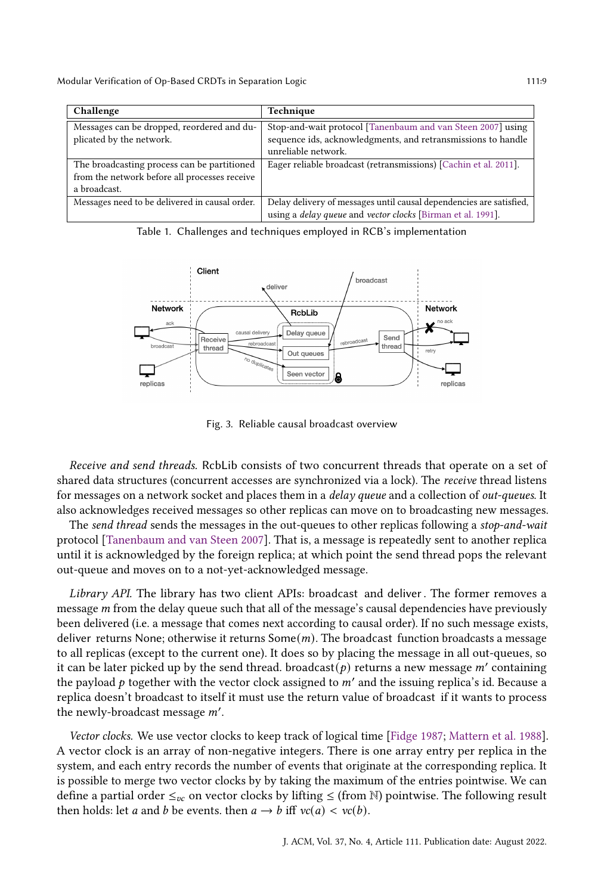<span id="page-8-0"></span>

| Challenge                                      | Technique                                                                 |  |  |
|------------------------------------------------|---------------------------------------------------------------------------|--|--|
| Messages can be dropped, reordered and du-     | Stop-and-wait protocol [Tanenbaum and van Steen 2007] using               |  |  |
| plicated by the network.                       | sequence ids, acknowledgments, and retransmissions to handle              |  |  |
|                                                | unreliable network.                                                       |  |  |
| The broadcasting process can be partitioned    | Eager reliable broadcast (retransmissions) [Cachin et al. 2011].          |  |  |
| from the network before all processes receive  |                                                                           |  |  |
| a broadcast.                                   |                                                                           |  |  |
| Messages need to be delivered in causal order. | Delay delivery of messages until causal dependencies are satisfied,       |  |  |
|                                                | using a <i>delay queue</i> and <i>vector clocks</i> [Birman et al. 1991]. |  |  |

Table 1. Challenges and techniques employed in RCB's implementation

<span id="page-8-1"></span>

Fig. 3. Reliable causal broadcast overview

Receive and send threads. RcbLib consists of two concurrent threads that operate on a set of shared data structures (concurrent accesses are synchronized via a lock). The receive thread listens for messages on a network socket and places them in a delay queue and a collection of out-queues. It also acknowledges received messages so other replicas can move on to broadcasting new messages.

The send thread sends the messages in the out-queues to other replicas following a stop-and-wait protocol [\[Tanenbaum and van Steen](#page-24-9) [2007\]](#page-24-9). That is, a message is repeatedly sent to another replica until it is acknowledged by the foreign replica; at which point the send thread pops the relevant out-queue and moves on to a not-yet-acknowledged message.

Library API. The library has two client APIs: broadcast and deliver. The former removes a message  $m$  from the delay queue such that all of the message's causal dependencies have previously been delivered (i.e. a message that comes next according to causal order). If no such message exists, deliver returns None; otherwise it returns  $Some(m)$ . The broadcast function broadcasts a message to all replicas (except to the current one). It does so by placing the message in all out-queues, so it can be later picked up by the send thread. broadcast(p) returns a new message  $m'$  containing the payload p together with the vector clock assigned to  $m'$  and the issuing replica's id. Because a replica doesn't broadcast to itself it must use the return value of broadcast if it wants to process the newly-broadcast message  $m'$ .

Vector clocks. We use vector clocks to keep track of logical time [\[Fidge](#page-23-13) [1987;](#page-23-13) [Mattern et al.](#page-24-10) [1988\]](#page-24-10). A vector clock is an array of non-negative integers. There is one array entry per replica in the system, and each entry records the number of events that originate at the corresponding replica. It is possible to merge two vector clocks by by taking the maximum of the entries pointwise. We can define a partial order  $\leq_{vc}$  on vector clocks by lifting  $\leq$  (from N) pointwise. The following result then holds: let *a* and *b* be events. then  $a \rightarrow b$  iff  $vc(a) < vc(b)$ .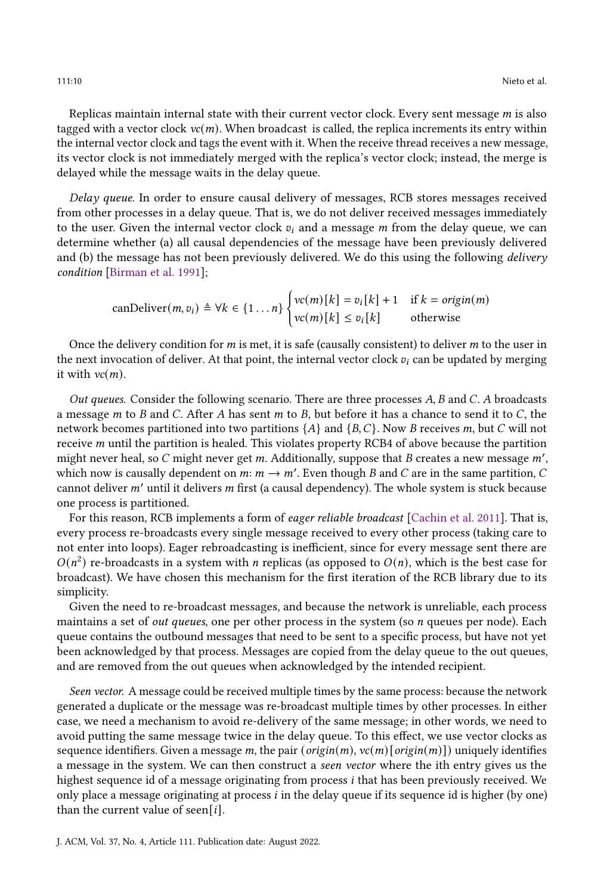Replicas maintain internal state with their current vector clock. Every sent message  $m$  is also tagged with a vector clock  $vc(m)$ . When broadcast is called, the replica increments its entry within the internal vector clock and tags the event with it. When the receive thread receives a new message, its vector clock is not immediately merged with the replica's vector clock; instead, the merge is delayed while the message waits in the delay queue.

Delay queue. In order to ensure causal delivery of messages, RCB stores messages received from other processes in a delay queue. That is, we do not deliver received messages immediately to the user. Given the internal vector clock  $v_i$  and a message  $m$  from the delay queue, we can determine whether (a) all causal dependencies of the message have been previously delivered and (b) the message has not been previously delivered. We do this using the following delivery condition [\[Birman et al.](#page-23-12) [1991\]](#page-23-12);

$$
\text{canDeliver}(m, v_i) \triangleq \forall k \in \{1 \dots n\} \begin{cases} vc(m)[k] = v_i[k] + 1 & \text{if } k = \text{origin}(m) \\ vc(m)[k] \le v_i[k] & \text{otherwise} \end{cases}
$$

Once the delivery condition for  $m$  is met, it is safe (causally consistent) to deliver  $m$  to the user in the next invocation of deliver. At that point, the internal vector clock  $v_i$  can be updated by merging it with  $vc(m)$ .

Out queues. Consider the following scenario. There are three processes  $A$ ,  $B$  and  $C$ .  $A$  broadcasts a message *m* to *B* and *C*. After *A* has sent *m* to *B*, but before it has a chance to send it to *C*, the network becomes partitioned into two partitions  $\{A\}$  and  $\{B, C\}$ . Now B receives m, but C will not receive  $m$  until the partition is healed. This violates property RCB4 of above because the partition might never heal, so C might never get m. Additionally, suppose that B creates a new message m'. which now is causally dependent on  $m: m \to m'$ . Even though B and C are in the same partition, C cannot deliver  $m'$  until it delivers  $m$  first (a causal dependency). The whole system is stuck because one process is partitioned.

For this reason, RCB implements a form of *eager reliable broadcast* [\[Cachin et al.](#page-23-7) [2011\]](#page-23-7). That is, every process re-broadcasts every single message received to every other process (taking care to not enter into loops). Eager rebroadcasting is inefficient, since for every message sent there are  $O(n^2)$  re-broadcasts in a system with *n* replicas (as opposed to  $O(n)$ , which is the best case for broadcast). We have chosen this mechanism for the first iteration of the RCB library due to its simplicity.

Given the need to re-broadcast messages, and because the network is unreliable, each process maintains a set of *out queues*, one per other process in the system (so  $n$  queues per node). Each queue contains the outbound messages that need to be sent to a specific process, but have not yet been acknowledged by that process. Messages are copied from the delay queue to the out queues, and are removed from the out queues when acknowledged by the intended recipient.

Seen vector. A message could be received multiple times by the same process: because the network generated a duplicate or the message was re-broadcast multiple times by other processes. In either case, we need a mechanism to avoid re-delivery of the same message; in other words, we need to avoid putting the same message twice in the delay queue. To this effect, we use vector clocks as sequence identifiers. Given a message m, the pair (origin(m),  $vc(m)$  [origin(m)]) uniquely identifies a message in the system. We can then construct a seen vector where the ith entry gives us the highest sequence id of a message originating from process *i* that has been previously received. We only place a message originating at process  $i$  in the delay queue if its sequence id is higher (by one) than the current value of seen[i].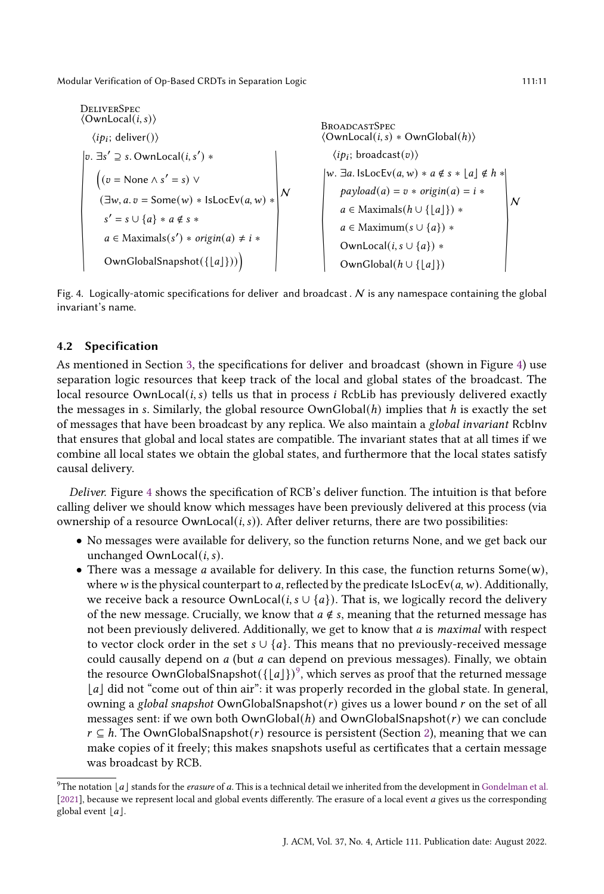<span id="page-10-0"></span>

| DELIVERSpec                                                                                  | ConvLocal(i, s)                                                               | BROADCASTSpec                                                                 |                                            |                                           |                                           |                                           |                                           |                                           |                                           |                                           |                                           |                                           |                                           |                    |
|----------------------------------------------------------------------------------------------|-------------------------------------------------------------------------------|-------------------------------------------------------------------------------|--------------------------------------------|-------------------------------------------|-------------------------------------------|-------------------------------------------|-------------------------------------------|-------------------------------------------|-------------------------------------------|-------------------------------------------|-------------------------------------------|-------------------------------------------|-------------------------------------------|--------------------|
| $\langle ip_i; \text{ deliver}() \rangle$                                                    | $\langle OwnLocal(i, s) * OwnGlobal(h) \rangle$                               |                                                                               |                                            |                                           |                                           |                                           |                                           |                                           |                                           |                                           |                                           |                                           |                                           |                    |
| $\langle v = \text{None } \land s' = s \rangle \lor$                                         | $\langle ip_i; \text{ broadcast}(v) \rangle$                                  |                                                                               |                                            |                                           |                                           |                                           |                                           |                                           |                                           |                                           |                                           |                                           |                                           |                    |
| $\langle (v = \text{None } \land s' = s) \lor$                                               | $\langle ip_i; \text{ broadcast}(v) \rangle$                                  |                                                                               |                                            |                                           |                                           |                                           |                                           |                                           |                                           |                                           |                                           |                                           |                                           |                    |
| $\langle w \ldots \exists a. \text{lsLocV}(a, w) * a \notin s * \text{lsloc}$                | $\langle p_i; \text{ broadcast}(v) \rangle$                                   |                                                                               |                                            |                                           |                                           |                                           |                                           |                                           |                                           |                                           |                                           |                                           |                                           |                    |
| $\langle w \ldots \exists a. \text{lsLocV}(a, w) * a \notin s * \text{lsloc}$                | $\langle p_i; \text{ broadcast}(v) \rangle$                                   |                                                                               |                                            |                                           |                                           |                                           |                                           |                                           |                                           |                                           |                                           |                                           |                                           |                    |
| $\langle \exists w, a. v = \text{Some}(w) * \text{lsLocV}(a, w) * a \notin s * \text{lsloc}$ | $\langle p \ldots \exists a. \text{lsLocV}(a, w) * a \notin s * \text{lsloc}$ | $\langle p \ldots \exists a. \text{lsLocV}(a, w) * a \notin s * \text{lsloc}$ | $\langle p \ldots \exists a. \text{lsloc}$ | $\langle p \ldots \exists a. \text{sloc}$ | $\langle p \ldots \exists a. \text{sloc}$ | $\langle p \ldots \exists a. \text{sloc}$ | $\langle p \ldots \exists a. \text{sloc}$ | $\langle p \ldots \exists a. \text{sloc}$ | $\langle p \ldots \exists a. \text{sloc}$ | $\langle p \ldots \exists a. \text{sloc}$ | $\langle p \ldots \exists a. \text{sloc}$ | $\langle p \ldots \exists a. \text{sloc}$ | $\langle p \ldots \exists a. \text{sloc}$ | $\langle p \ldots$ |

Fig. 4. Logically-atomic specifications for deliver and broadcast.  $N$  is any namespace containing the global invariant's name.

#### 4.2 Specification

As mentioned in Section [3,](#page-4-0) the specifications for deliver and broadcast (shown in Figure [4\)](#page-10-0) use separation logic resources that keep track of the local and global states of the broadcast. The local resource OwnLocal $(i, s)$  tells us that in process *i* RcbLib has previously delivered exactly the messages in s. Similarly, the global resource  $OwnGlobal(h)$  implies that h is exactly the set of messages that have been broadcast by any replica. We also maintain a global invariant RcbInv that ensures that global and local states are compatible. The invariant states that at all times if we combine all local states we obtain the global states, and furthermore that the local states satisfy causal delivery.

Deliver. Figure [4](#page-10-0) shows the specification of RCB's deliver function. The intuition is that before calling deliver we should know which messages have been previously delivered at this process (via ownership of a resource  $OwhLocal(i, s))$ . After deliver returns, there are two possibilities:

- No messages were available for delivery, so the function returns None, and we get back our unchanged OwnLocal $(i, s)$ .
- There was a message *a* available for delivery. In this case, the function returns Some(w), where w is the physical counterpart to a, reflected by the predicate IsLocEv( $a$ ,  $w$ ). Additionally, we receive back a resource OwnLocal(*i*,  $s \cup \{a\}$ ). That is, we logically record the delivery of the new message. Crucially, we know that  $a \notin s$ , meaning that the returned message has not been previously delivered. Additionally, we get to know that  $a$  is *maximal* with respect to vector clock order in the set  $s \cup \{a\}$ . This means that no previously-received message could causally depend on  $a$  (but  $a$  can depend on previous messages). Finally, we obtain the resource OwnGlobalSnapshot $({[a]})^9$  $({[a]})^9$ , which serves as proof that the returned message | a| did not "come out of thin air": it was properly recorded in the global state. In general, owning a global snapshot OwnGlobalSnapshot $(r)$  gives us a lower bound  $r$  on the set of all messages sent: if we own both OwnGlobal $(h)$  and OwnGlobalSnapshot $(r)$  we can conclude  $r \subseteq h$ . The OwnGlobalSnapshot(r) resource is persistent (Section [2\)](#page-3-0), meaning that we can make copies of it freely; this makes snapshots useful as certificates that a certain message was broadcast by RCB.

<span id="page-10-1"></span> $9$ The notation  $|a|$  stands for the erasure of a. This is a technical detail we inherited from the development in [Gondelman et al.](#page-23-11) [\[2021\]](#page-23-11), because we represent local and global events differently. The erasure of a local event *a* gives us the corresponding global event  $|a|$ .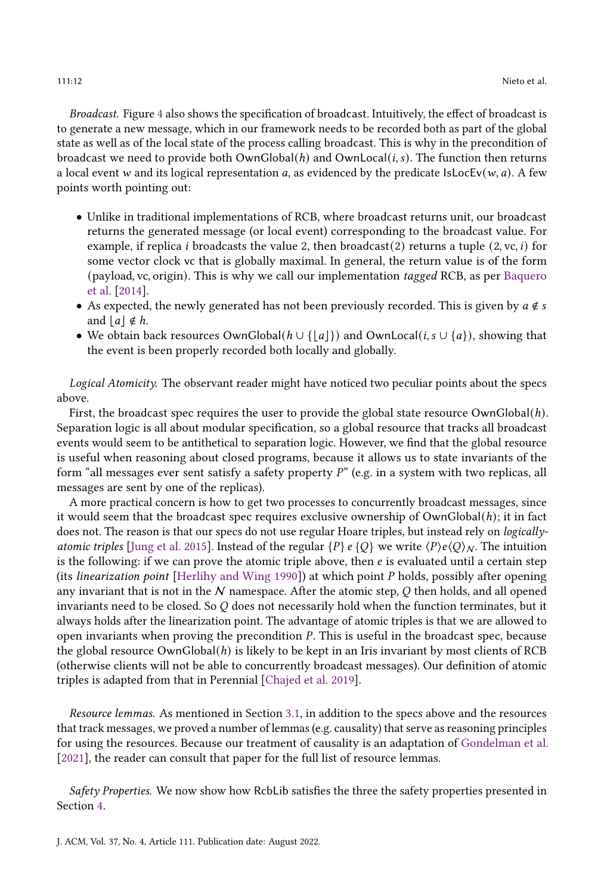Broadcast. Figure [4](#page-10-0) also shows the specification of broadcast. Intuitively, the effect of broadcast is to generate a new message, which in our framework needs to be recorded both as part of the global state as well as of the local state of the process calling broadcast. This is why in the precondition of broadcast we need to provide both  $OwnGlobal(h)$  and  $OwnLocal(i, s)$ . The function then returns a local event w and its logical representation a, as evidenced by the predicate  $IsLocEv(w, a)$ . A few points worth pointing out:

- Unlike in traditional implementations of RCB, where broadcast returns unit, our broadcast returns the generated message (or local event) corresponding to the broadcast value. For example, if replica *i* broadcasts the value 2, then broadcast(2) returns a tuple (2, vc, *i*) for some vector clock vc that is globally maximal. In general, the return value is of the form (payload, vc, origin). This is why we call our implementation tagged RCB, as per [Baquero](#page-23-6) [et al.](#page-23-6) [\[2014\]](#page-23-6).
- As expected, the newly generated has not been previously recorded. This is given by  $a \notin s$ and  $|a| \notin h$ .
- We obtain back resources OwnGlobal( $h \cup \{ |a| \}$ ) and OwnLocal(*i*,  $s \cup \{a\}$ ), showing that the event is been properly recorded both locally and globally.

Logical Atomicity. The observant reader might have noticed two peculiar points about the specs above.

First, the broadcast spec requires the user to provide the global state resource OwnGlobal(h). Separation logic is all about modular specification, so a global resource that tracks all broadcast events would seem to be antithetical to separation logic. However, we find that the global resource is useful when reasoning about closed programs, because it allows us to state invariants of the form "all messages ever sent satisfy a safety property  $P$ " (e.g. in a system with two replicas, all messages are sent by one of the replicas).

A more practical concern is how to get two processes to concurrently broadcast messages, since it would seem that the broadcast spec requires exclusive ownership of  $OwnGlobal(h)$ ; it in fact does not. The reason is that our specs do not use regular Hoare triples, but instead rely on *logically*-atomic triples [\[Jung et al.](#page-23-14) [2015\]](#page-23-14). Instead of the regular  ${P} e \{O\}$  we write  $\langle P \rangle e \langle O \rangle_{N}$ . The intuition is the following: if we can prove the atomic triple above, then  $e$  is evaluated until a certain step (its *linearization point* [\[Herlihy and Wing](#page-23-0) [1990\]](#page-23-0)) at which point  $P$  holds, possibly after opening any invariant that is not in the  $N$  namespace. After the atomic step,  $Q$  then holds, and all opened invariants need to be closed. So  $Q$  does not necessarily hold when the function terminates, but it always holds after the linearization point. The advantage of atomic triples is that we are allowed to open invariants when proving the precondition  $P$ . This is useful in the broadcast spec, because the global resource  $OwnGlobal(h)$  is likely to be kept in an Iris invariant by most clients of RCB (otherwise clients will not be able to concurrently broadcast messages). Our definition of atomic triples is adapted from that in Perennial [\[Chajed et al.](#page-23-15) [2019\]](#page-23-15).

Resource lemmas. As mentioned in Section [3.1,](#page-4-4) in addition to the specs above and the resources that track messages, we proved a number of lemmas (e.g. causality) that serve as reasoning principles for using the resources. Because our treatment of causality is an adaptation of [Gondelman et al.](#page-23-11) [\[2021\]](#page-23-11), the reader can consult that paper for the full list of resource lemmas.

Safety Properties. We now show how RcbLib satisfies the three the safety properties presented in Section [4.](#page-7-0)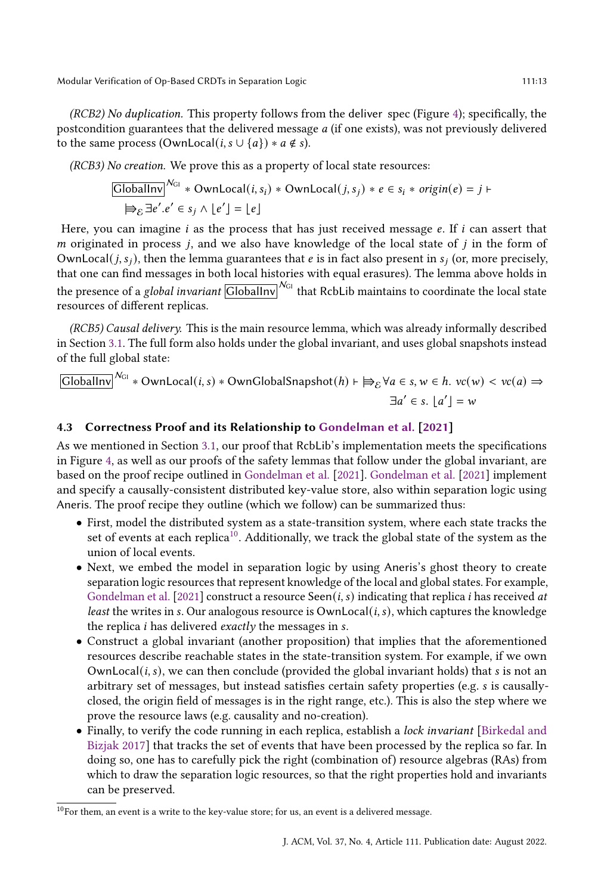(RCB2) No duplication. This property follows from the deliver spec (Figure [4\)](#page-10-0); specifically, the postcondition guarantees that the delivered message  $a$  (if one exists), was not previously delivered to the same process (OwnLocal(*i*,  $s \cup \{a\}$ ) \*  $a \notin s$ ).

(RCB3) No creation. We prove this as a property of local state resources:

$$
\boxed{\text{GlobalInv}^{N_{GI}} * \text{OwnLocal}(i, s_i) * \text{OwnLocal}(j, s_j) * e \in s_i * origin(e) = j \in \bigoplus_{\mathcal{E}} \exists e'.e' \in s_j \land \lfloor e' \rfloor = \lfloor e \rfloor}
$$

Here, you can imagine  $i$  as the process that has just received message  $e$ . If  $i$  can assert that  $m$  originated in process  $j$ , and we also have knowledge of the local state of  $j$  in the form of OwnLocal(*j*, *s<sub>i</sub>*), then the lemma guarantees that *e* is in fact also present in *s<sub>i</sub>* (or, more precisely, that one can find messages in both local histories with equal erasures). The lemma above holds in the presence of a global invariant  $\overline{\text{GlobalInv}}^{\mathcal{N}_{\text{GI}}}$  that RcbLib maintains to coordinate the local state resources of different replicas.

(RCB5) Causal delivery. This is the main resource lemma, which was already informally described in Section [3.1.](#page-4-4) The full form also holds under the global invariant, and uses global snapshots instead of the full global state:

 $\overline{\text{GlobalInv}}^{\mathcal{N}_{\text{GI}}} * \text{OwnLocal}(i,s) * \text{OwnGlobalSnapshot}(h) \vdash \text{ ⊕}_{\mathcal{E}} \forall a \in s, w \in h. \; v c(w) < v c(a) \Rightarrow$  $\exists a' \in s. \lfloor a' \rfloor = w$ 

## 4.3 Correctness Proof and its Relationship to [Gondelman et al.](#page-23-11) [\[2021\]](#page-23-11)

As we mentioned in Section [3.1,](#page-4-4) our proof that RcbLib's implementation meets the specifications in Figure [4,](#page-10-0) as well as our proofs of the safety lemmas that follow under the global invariant, are based on the proof recipe outlined in [Gondelman et al.](#page-23-11) [\[2021\]](#page-23-11). [Gondelman et al.](#page-23-11) [\[2021\]](#page-23-11) implement and specify a causally-consistent distributed key-value store, also within separation logic using Aneris. The proof recipe they outline (which we follow) can be summarized thus:

- First, model the distributed system as a state-transition system, where each state tracks the set of events at each replica<sup>[10](#page-12-0)</sup>. Additionally, we track the global state of the system as the union of local events.
- Next, we embed the model in separation logic by using Aneris's ghost theory to create separation logic resources that represent knowledge of the local and global states. For example, [Gondelman et al.](#page-23-11) [\[2021\]](#page-23-11) construct a resource Seen( $i, s$ ) indicating that replica  $i$  has received at *least* the writes in s. Our analogous resource is  $OwnLocal(i, s)$ , which captures the knowledge the replica  $i$  has delivered *exactly* the messages in  $s$ .
- Construct a global invariant (another proposition) that implies that the aforementioned resources describe reachable states in the state-transition system. For example, if we own OwnLocal $(i, s)$ , we can then conclude (provided the global invariant holds) that  $s$  is not an arbitrary set of messages, but instead satisfies certain safety properties (e.g. is causallyclosed, the origin field of messages is in the right range, etc.). This is also the step where we prove the resource laws (e.g. causality and no-creation).
- Finally, to verify the code running in each replica, establish a lock invariant [\[Birkedal and](#page-23-16) [Bizjak](#page-23-16) [2017\]](#page-23-16) that tracks the set of events that have been processed by the replica so far. In doing so, one has to carefully pick the right (combination of) resource algebras (RAs) from which to draw the separation logic resources, so that the right properties hold and invariants can be preserved.

<span id="page-12-0"></span> $10$ For them, an event is a write to the key-value store; for us, an event is a delivered message.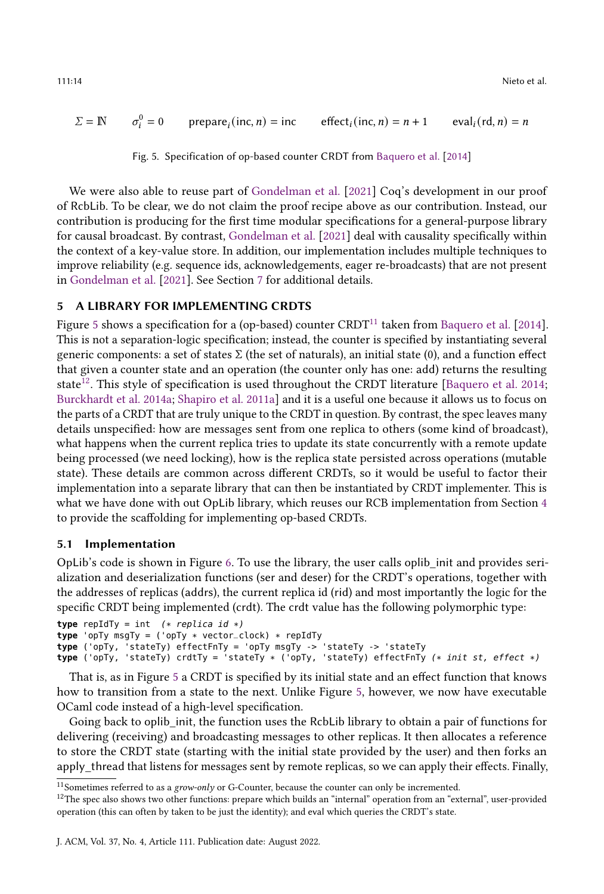<span id="page-13-1"></span>
$$
\Sigma = \mathbb{N} \qquad \sigma_i^0 = 0 \qquad \text{prepare}_i(\text{inc}, n) = \text{inc} \qquad \text{effect}_i(\text{inc}, n) = n + 1 \qquad \text{eval}_i(\text{rd}, n) = n
$$

Fig. 5. Specification of op-based counter CRDT from [Baquero et al.](#page-23-6) [\[2014\]](#page-23-6)

We were also able to reuse part of [Gondelman et al.](#page-23-11) [\[2021\]](#page-23-11) Coq's development in our proof of RcbLib. To be clear, we do not claim the proof recipe above as our contribution. Instead, our contribution is producing for the first time modular specifications for a general-purpose library for causal broadcast. By contrast, [Gondelman et al.](#page-23-11) [\[2021\]](#page-23-11) deal with causality specifically within the context of a key-value store. In addition, our implementation includes multiple techniques to improve reliability (e.g. sequence ids, acknowledgements, eager re-broadcasts) that are not present in [Gondelman et al.](#page-23-11) [\[2021\]](#page-23-11). See Section [7](#page-20-0) for additional details.

## <span id="page-13-0"></span>5 A LIBRARY FOR IMPLEMENTING CRDTS

Figure [5](#page-13-1) shows a specification for a (op-based) counter CRDT<sup>[11](#page-13-2)</sup> taken from [Baquero et al.](#page-23-6) [\[2014\]](#page-23-6). This is not a separation-logic specification; instead, the counter is specified by instantiating several generic components: a set of states  $\Sigma$  (the set of naturals), an initial state (0), and a function effect that given a counter state and an operation (the counter only has one: add) returns the resulting state<sup>[12](#page-13-3)</sup>. This style of specification is used throughout the CRDT literature [\[Baquero et al.](#page-23-6) [2014;](#page-23-6) [Burckhardt et al.](#page-23-8) [2014a;](#page-23-8) [Shapiro et al.](#page-24-4) [2011a\]](#page-24-4) and it is a useful one because it allows us to focus on the parts of a CRDT that are truly unique to the CRDT in question. By contrast, the spec leaves many details unspecified: how are messages sent from one replica to others (some kind of broadcast), what happens when the current replica tries to update its state concurrently with a remote update being processed (we need locking), how is the replica state persisted across operations (mutable state). These details are common across different CRDTs, so it would be useful to factor their implementation into a separate library that can then be instantiated by CRDT implementer. This is what we have done with out OpLib library, which reuses our RCB implementation from Section [4](#page-7-0) to provide the scaffolding for implementing op-based CRDTs.

#### 5.1 Implementation

OpLib's code is shown in Figure [6.](#page-14-0) To use the library, the user calls oplib\_init and provides serialization and deserialization functions (ser and deser) for the CRDT's operations, together with the addresses of replicas (addrs), the current replica id (rid) and most importantly the logic for the specific CRDT being implemented (crdt). The crdt value has the following polymorphic type:

```
type repIdTy = int (* replica id *)type 'opTy msgTy = ('opTy * vector_clock) * repIdTy
type ('opTy, 'stateTy) effectFnTy = 'opTy msgTy -> 'stateTy -> 'stateTy
type ('opTy, 'stateTy) crdtTy = 'stateTy * ('opTy, 'stateTy) effectFnTy (* init st, effect *)
```
That is, as in Figure [5](#page-13-1) a CRDT is specified by its initial state and an effect function that knows how to transition from a state to the next. Unlike Figure [5,](#page-13-1) however, we now have executable OCaml code instead of a high-level specification.

Going back to oplib\_init, the function uses the RcbLib library to obtain a pair of functions for delivering (receiving) and broadcasting messages to other replicas. It then allocates a reference to store the CRDT state (starting with the initial state provided by the user) and then forks an apply thread that listens for messages sent by remote replicas, so we can apply their effects. Finally,

<span id="page-13-2"></span> $11$ Sometimes referred to as a grow-only or G-Counter, because the counter can only be incremented.

<span id="page-13-3"></span><sup>&</sup>lt;sup>12</sup>The spec also shows two other functions: prepare which builds an "internal" operation from an "external", user-provided operation (this can often by taken to be just the identity); and eval which queries the CRDT's state.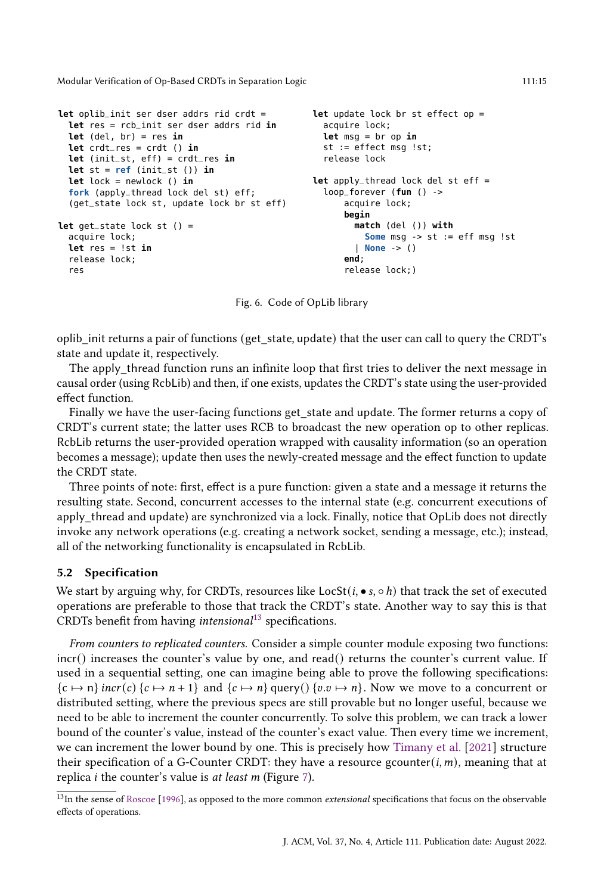```
let oplib_init ser dser addrs rid crdt =
 let res = rcb_init ser dser addrs rid in
 let (del, br) = res in
 let crdt_res = crdt () in
 let (init_st, eff) = crdt_res in
 let st = ref (init_st ()) inlet lock = newlock () in
  fork (apply_thread lock del st) eff;
  (get_state lock st, update lock br st eff)
let get_state lock st () =
 acquire lock;
 let res = !st in
 release lock;
  res
                                                 let update lock br st effect op =
                                                   acquire lock;
                                                   let msg = br op in
                                                   st := effect msg !st;
                                                   release lock
                                                 let apply_thread lock del st eff =
                                                   loop_forever (fun () ->
                                                       acquire lock;
                                                       begin
                                                         match (del ()) with
                                                           Some msg -> st := eff msg !st
                                                         | None -> ()
                                                       end;
                                                       release lock;)
```
Fig. 6. Code of OpLib library

oplib\_init returns a pair of functions (get\_state, update) that the user can call to query the CRDT's state and update it, respectively.

The apply thread function runs an infinite loop that first tries to deliver the next message in causal order (using RcbLib) and then, if one exists, updates the CRDT's state using the user-provided effect function.

Finally we have the user-facing functions get state and update. The former returns a copy of CRDT's current state; the latter uses RCB to broadcast the new operation op to other replicas. RcbLib returns the user-provided operation wrapped with causality information (so an operation becomes a message); update then uses the newly-created message and the effect function to update the CRDT state.

Three points of note: first, effect is a pure function: given a state and a message it returns the resulting state. Second, concurrent accesses to the internal state (e.g. concurrent executions of apply thread and update) are synchronized via a lock. Finally, notice that OpLib does not directly invoke any network operations (e.g. creating a network socket, sending a message, etc.); instead, all of the networking functionality is encapsulated in RcbLib.

#### 5.2 Specification

We start by arguing why, for CRDTs, resources like  $LocSt(i, \bullet s, \circ h)$  that track the set of executed operations are preferable to those that track the CRDT's state. Another way to say this is that CRDTs benefit from having *intensional*<sup>[13](#page-14-1)</sup> specifications.

From counters to replicated counters. Consider a simple counter module exposing two functions: incr() increases the counter's value by one, and read() returns the counter's current value. If used in a sequential setting, one can imagine being able to prove the following specifications:  $\{c \mapsto n\}$  incr(c)  $\{c \mapsto n+1\}$  and  $\{c \mapsto n\}$  query()  $\{v.v \mapsto n\}$ . Now we move to a concurrent or distributed setting, where the previous specs are still provable but no longer useful, because we need to be able to increment the counter concurrently. To solve this problem, we can track a lower bound of the counter's value, instead of the counter's exact value. Then every time we increment, we can increment the lower bound by one. This is precisely how [Timany et al.](#page-24-11) [\[2021\]](#page-24-11) structure their specification of a G-Counter CRDT: they have a resource gcounter $(i, m)$ , meaning that at replica *i* the counter's value is *at least m* (Figure [7\)](#page-15-0).

<span id="page-14-1"></span> $13$ In the sense of [Roscoe](#page-24-12) [\[1996\]](#page-24-12), as opposed to the more common extensional specifications that focus on the observable effects of operations.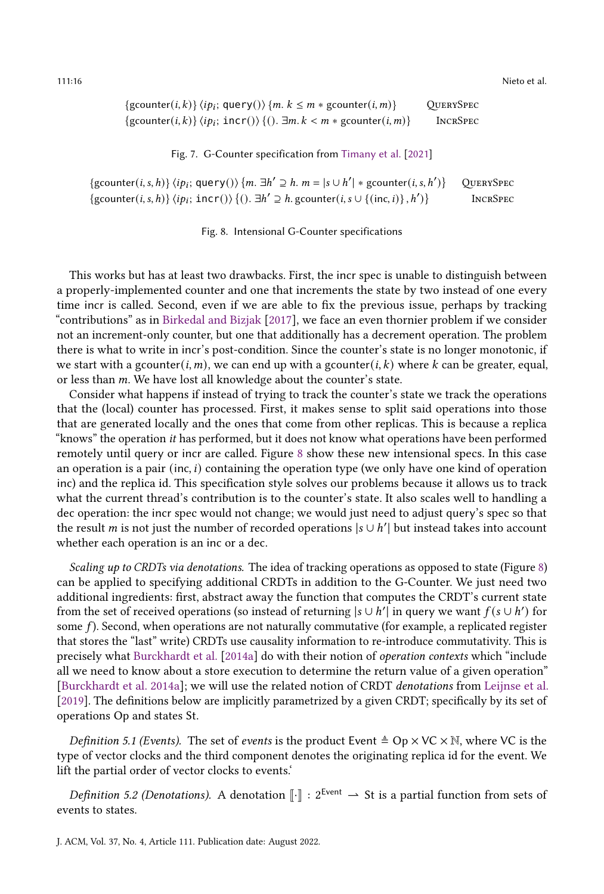<span id="page-15-0"></span>111:16 Nieto et al.

| $\{g\text{counter}(i,k)\}\langle ip_i; \text{query}(\rangle\}$ $\{m. k \leq m * g\text{counter}(i,m)\}$ | <b>QUERYSPEC</b> |
|---------------------------------------------------------------------------------------------------------|------------------|
| $\{gcounter(i,k)\}\langle ip_i; incr() \rangle \{(), \exists m. k < m * gcounter(i,m)\}\$               | <b>INCRSPEC</b>  |

Fig. 7. G-Counter specification from [Timany et al.](#page-24-11) [\[2021\]](#page-24-11)

<span id="page-15-1"></span>{gcounter(*i*, *s*, *h*)}  $\langle ip_i; \text{query}() \rangle$  {*m*.  $\exists h' \supseteq h$ . *m* =  $|s \cup h'| * \text{geometric}(i, s, h')$ )} QuerySpec {gcounter(*i*, *s*, *h*)}  $\langle ip_i; incr() \rangle$  {().  $\exists h' \supseteq h$ . gcounter(*i*, *s*  $\cup$  {(inc, *i*)}, *h'* )} IncrSpec

Fig. 8. Intensional G-Counter specifications

This works but has at least two drawbacks. First, the incr spec is unable to distinguish between a properly-implemented counter and one that increments the state by two instead of one every time incr is called. Second, even if we are able to fix the previous issue, perhaps by tracking "contributions" as in [Birkedal and Bizjak](#page-23-16) [\[2017\]](#page-23-16), we face an even thornier problem if we consider not an increment-only counter, but one that additionally has a decrement operation. The problem there is what to write in incr's post-condition. Since the counter's state is no longer monotonic, if we start with a gcounter(*i, m*), we can end up with a gcounter(*i, k*) where *k* can be greater, equal, or less than  $m$ . We have lost all knowledge about the counter's state.

Consider what happens if instead of trying to track the counter's state we track the operations that the (local) counter has processed. First, it makes sense to split said operations into those that are generated locally and the ones that come from other replicas. This is because a replica "knows" the operation it has performed, but it does not know what operations have been performed remotely until query or incr are called. Figure [8](#page-15-1) show these new intensional specs. In this case an operation is a pair (inc,  $i$ ) containing the operation type (we only have one kind of operation inc) and the replica id. This specification style solves our problems because it allows us to track what the current thread's contribution is to the counter's state. It also scales well to handling a dec operation: the incr spec would not change; we would just need to adjust query's spec so that the result *m* is not just the number of recorded operations  $|s \cup h'|$  but instead takes into account whether each operation is an inc or a dec.

Scaling up to CRDTs via denotations. The idea of tracking operations as opposed to state (Figure [8\)](#page-15-1) can be applied to specifying additional CRDTs in addition to the G-Counter. We just need two additional ingredients: first, abstract away the function that computes the CRDT's current state from the set of received operations (so instead of returning  $|s \cup h'|$  in query we want  $f(s \cup h')$  for some  $f$ ). Second, when operations are not naturally commutative (for example, a replicated register that stores the "last" write) CRDTs use causality information to re-introduce commutativity. This is precisely what [Burckhardt et al.](#page-23-8) [\[2014a\]](#page-23-8) do with their notion of operation contexts which "include all we need to know about a store execution to determine the return value of a given operation" [\[Burckhardt et al.](#page-23-8) [2014a\]](#page-23-8); we will use the related notion of CRDT denotations from [Leijnse et al.](#page-24-7) [\[2019\]](#page-24-7). The definitions below are implicitly parametrized by a given CRDT; specifically by its set of operations Op and states St.

*Definition 5.1 (Events).* The set of *events* is the product Event  $\triangleq$  Op  $\times$  VC  $\times$  N, where VC is the type of vector clocks and the third component denotes the originating replica id for the event. We lift the partial order of vector clocks to events.'

Definition 5.2 (Denotations). A denotation  $\lVert \cdot \rVert$  :  $2^{Event} \rightharpoonup$  St is a partial function from sets of events to states.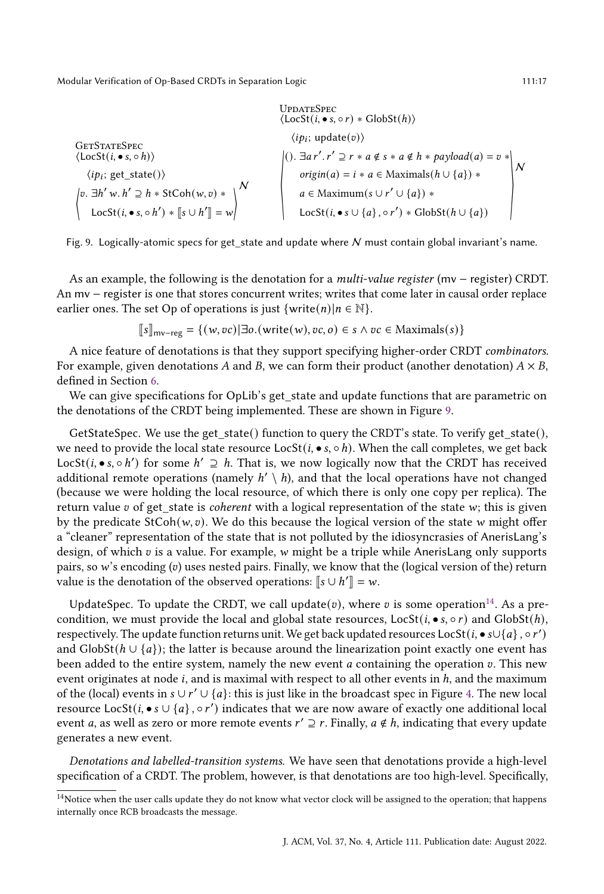<span id="page-16-0"></span>**GETSTATESPEC**  $\langle$ LocSt $(i, \bullet s, \circ h) \rangle$  $\langle ip_i; get\_state() \rangle$ ⟨  $v. \exists h' w. h' \supseteq h * \text{StCoh}(w, v) *$ LocSt( $i, \bullet s, \circ h'$ ) \*  $\llbracket s \cup h' \rrbracket = w$ N UpdateSpec  $\langle$ LocSt $(i, \bullet s, \circ r) * \text{GlobSt}(h) \rangle$  $\langle ip_i; \text{update}(v) \rangle$ ⟨ ().  $\exists a r'. r' \supseteq r * a \notin s * a \notin h * payload(a) = v *$  $origin(a) = i * a \in Maximals(h \cup \{a\}) *$  $a \in$  Maximum( $s \cup r' \cup \{a\}$ ) \* LocSt( $i, \bullet s \cup \{a\}, \circ r'$ ) \* GlobSt( $h \cup \{a\}$ ) ⟩ N



As an example, the following is the denotation for a multi-value register (mv − register) CRDT. An mv − register is one that stores concurrent writes; writes that come later in causal order replace earlier ones. The set Op of operations is just  $\{write(n) | n \in \mathbb{N}\}.$ 

$$
[\![s]\!]_{\text{mv-reg}} = \{ (w, vc) | \exists o.(\text{write}(w), vc, o) \in s \land vc \in \text{Maximals}(s) \}
$$

A nice feature of denotations is that they support specifying higher-order CRDT combinators. For example, given denotations A and B, we can form their product (another denotation)  $A \times B$ , defined in Section [6.](#page-18-0)

We can give specifications for OpLib's get\_state and update functions that are parametric on the denotations of the CRDT being implemented. These are shown in Figure [9.](#page-16-0)

GetStateSpec. We use the get state() function to query the CRDT's state. To verify get state(), we need to provide the local state resource  $\text{LocSt}(i, \bullet s, \circ h)$ . When the call completes, we get back LocSt(*i*, • s, ∘ h') for some  $h' \supseteq h$ . That is, we now logically now that the CRDT has received additional remote operations (namely  $h' \setminus h$ ), and that the local operations have not changed (because we were holding the local resource, of which there is only one copy per replica). The return value  $v$  of get\_state is *coherent* with a logical representation of the state  $w$ ; this is given by the predicate  $StCoh(w, v)$ . We do this because the logical version of the state w might offer a "cleaner" representation of the state that is not polluted by the idiosyncrasies of AnerisLang's design, of which  $v$  is a value. For example,  $w$  might be a triple while AnerisLang only supports pairs, so  $w$ 's encoding  $(v)$  uses nested pairs. Finally, we know that the (logical version of the) return value is the denotation of the observed operations:  $\llbracket s \cup h' \rrbracket = w$ .

UpdateSpec. To update the CRDT, we call update(v), where v is some operation<sup>[14](#page-16-1)</sup>. As a precondition, we must provide the local and global state resources,  $LocSt(i, \bullet s, \circ r)$  and  $GlobSt(h)$ , respectively. The update function returns unit. We get back updated resources LocSt ( $i$ ,  $\bullet$  s $\cup\{a\}$  ,  $\circ$   $r^\prime)$ and  $\text{GlobSt}(h \cup \{a\})$ ; the latter is because around the linearization point exactly one event has been added to the entire system, namely the new event  $a$  containing the operation  $v$ . This new event originates at node  $i$ , and is maximal with respect to all other events in  $h$ , and the maximum of the (local) events in  $s \cup r' \cup \{a\}$ : this is just like in the broadcast spec in Figure [4.](#page-10-0) The new local resource LocSt(*i*, • *s*  $\cup$  {*a*},  $\circ$  *r'*) indicates that we are now aware of exactly one additional local event *a*, as well as zero or more remote events  $r' \supseteq r$ . Finally,  $a \notin h$ , indicating that every update generates a new event.

Denotations and labelled-transition systems. We have seen that denotations provide a high-level specification of a CRDT. The problem, however, is that denotations are too high-level. Specifically,

<span id="page-16-1"></span><sup>&</sup>lt;sup>14</sup>Notice when the user calls update they do not know what vector clock will be assigned to the operation; that happens internally once RCB broadcasts the message.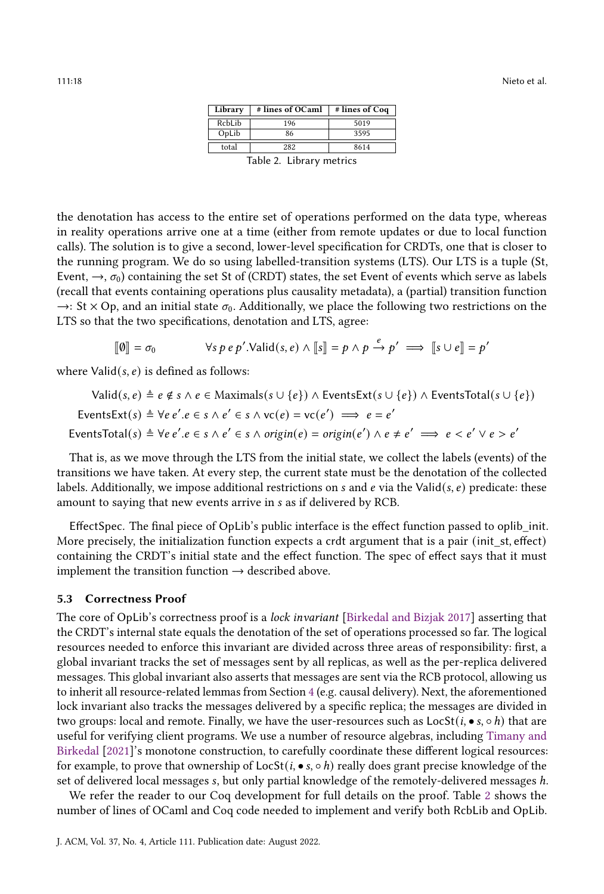| Library | # lines of OCaml | # lines of Coq |  |  |  |  |
|---------|------------------|----------------|--|--|--|--|
| RcbLib  | 196              | 5019           |  |  |  |  |
| OpLib   | 86               | 3595           |  |  |  |  |
| total   | 282              | 8614           |  |  |  |  |
| .       |                  |                |  |  |  |  |

Table 2. Library metrics

<span id="page-17-0"></span>the denotation has access to the entire set of operations performed on the data type, whereas in reality operations arrive one at a time (either from remote updates or due to local function calls). The solution is to give a second, lower-level specification for CRDTs, one that is closer to the running program. We do so using labelled-transition systems (LTS). Our LTS is a tuple (St, Event,  $\rightarrow$ ,  $\sigma_0$ ) containing the set St of (CRDT) states, the set Event of events which serve as labels (recall that events containing operations plus causality metadata), a (partial) transition function  $\rightarrow$ : St  $\times$  Op, and an initial state  $\sigma_0$ . Additionally, we place the following two restrictions on the LTS so that the two specifications, denotation and LTS, agree:

$$
[\![\emptyset]\!] = \sigma_0 \qquad \forall s \, p \, e \, p'.\text{Valid}(s, e) \land [\![s]\!] = p \land p \xrightarrow{e} p' \implies [\![s \cup e]\!] = p'
$$

where  $Valid(s, e)$  is defined as follows:

Valid(*s*, *e*) 
$$
\triangleq
$$
 *e* ∉ *s* ∧ *e* ∈ Maximals(*s* ∪ {*e*}) ∧ EventsExt(*s* ∪ {*e*}) ∧ EventsTotal(*s* ∪ {*e*})  
EventsExt(*s*)  $\triangleq$  ∀*e e*′*. e* ∈ *s* ∧ *e*′ ∈ *s* ∧ *v*c(*e*) = *v*c(*e*′)  $\implies$  *e* = *e*′  
EventsTotal(*s*)  $\triangleq$  ∀*e e*′*. e* ∈ *s* ∧ *e*′ ∈ *s* ∧ *origin*(*e*) = *origin*(*e*′) ∧ *e* ≠ *e*′  $\implies$  *e* < *e*′ ∨ *e* > *e*′  

That is, as we move through the LTS from the initial state, we collect the labels (events) of the transitions we have taken. At every step, the current state must be the denotation of the collected labels. Additionally, we impose additional restrictions on s and e via the Valid( $s, e$ ) predicate: these amount to saying that new events arrive in s as if delivered by RCB.

EffectSpec. The final piece of OpLib's public interface is the effect function passed to oplib\_init. More precisely, the initialization function expects a crdt argument that is a pair (init\_st, effect) containing the CRDT's initial state and the effect function. The spec of effect says that it must implement the transition function  $\rightarrow$  described above.

#### 5.3 Correctness Proof

The core of OpLib's correctness proof is a lock invariant [\[Birkedal and Bizjak](#page-23-16) [2017\]](#page-23-16) asserting that the CRDT's internal state equals the denotation of the set of operations processed so far. The logical resources needed to enforce this invariant are divided across three areas of responsibility: first, a global invariant tracks the set of messages sent by all replicas, as well as the per-replica delivered messages. This global invariant also asserts that messages are sent via the RCB protocol, allowing us to inherit all resource-related lemmas from Section [4](#page-7-0) (e.g. causal delivery). Next, the aforementioned lock invariant also tracks the messages delivered by a specific replica; the messages are divided in two groups: local and remote. Finally, we have the user-resources such as  $LocSt(i, \bullet s, \circ h)$  that are useful for verifying client programs. We use a number of resource algebras, including [Timany and](#page-24-13) [Birkedal](#page-24-13) [\[2021\]](#page-24-13)'s monotone construction, to carefully coordinate these different logical resources: for example, to prove that ownership of  $LocSt(i, \bullet s, \circ h)$  really does grant precise knowledge of the set of delivered local messages s, but only partial knowledge of the remotely-delivered messages h.

We refer the reader to our Coq development for full details on the proof. Table [2](#page-17-0) shows the number of lines of OCaml and Coq code needed to implement and verify both RcbLib and OpLib.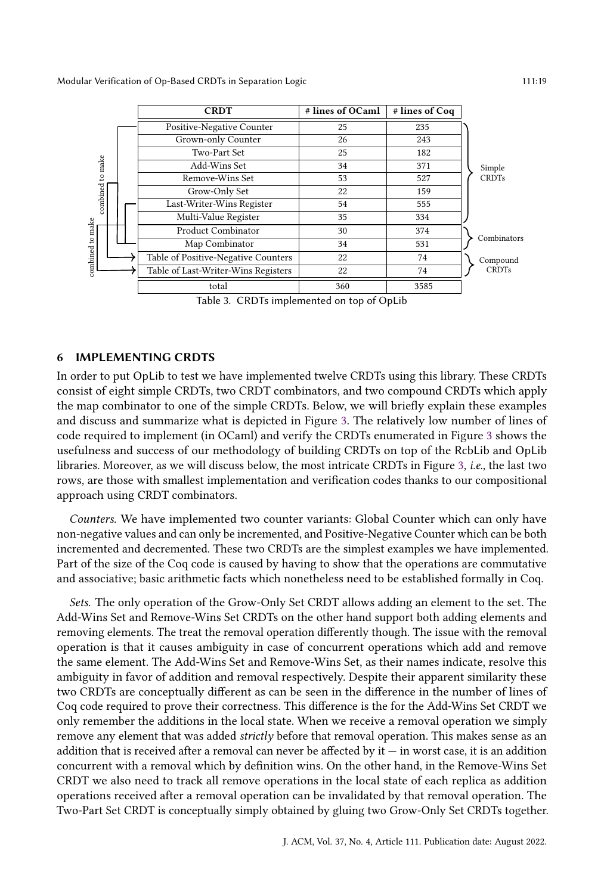<span id="page-18-1"></span>

|                                      |                      | <b>CRDT</b>                                                        | # lines of OCaml | # lines of Coq |              |
|--------------------------------------|----------------------|--------------------------------------------------------------------|------------------|----------------|--------------|
|                                      |                      | Positive-Negative Counter                                          | 25               | 235            |              |
|                                      |                      | Grown-only Counter                                                 | 26               | 243            |              |
| combined to make<br>combined to make |                      | Two-Part Set                                                       | 25               | 182            |              |
|                                      |                      | Add-Wins Set                                                       | 34               | 371            | Simple       |
|                                      |                      | Remove-Wins Set                                                    | 53               | 527            | <b>CRDTs</b> |
|                                      |                      | Grow-Only Set                                                      | 22               | 159            |              |
|                                      |                      | Last-Writer-Wins Register                                          | 54               | 555            |              |
|                                      | Multi-Value Register | 35                                                                 | 334              |                |              |
|                                      | Product Combinator   | 30                                                                 | 374              |                |              |
|                                      | Map Combinator       | 34                                                                 | 531              | Combinators    |              |
|                                      |                      | Table of Positive-Negative Counters                                | 22               | 74             | Compound     |
|                                      |                      | Table of Last-Writer-Wins Registers                                | 22               | 74             | <b>CRDTs</b> |
|                                      |                      | total                                                              | 360              | 3585           |              |
|                                      |                      | $T_{\alpha}$ kla 2. CDD $T_{\alpha}$ inculamented an ten of Oul ik |                  |                |              |

Table 3. CRDTs implemented on top of OpLib

#### <span id="page-18-0"></span>6 IMPLEMENTING CRDTS

In order to put OpLib to test we have implemented twelve CRDTs using this library. These CRDTs consist of eight simple CRDTs, two CRDT combinators, and two compound CRDTs which apply the map combinator to one of the simple CRDTs. Below, we will briefly explain these examples and discuss and summarize what is depicted in Figure [3.](#page-18-1) The relatively low number of lines of code required to implement (in OCaml) and verify the CRDTs enumerated in Figure [3](#page-18-1) shows the usefulness and success of our methodology of building CRDTs on top of the RcbLib and OpLib libraries. Moreover, as we will discuss below, the most intricate CRDTs in Figure [3,](#page-18-1) i.e., the last two rows, are those with smallest implementation and verification codes thanks to our compositional approach using CRDT combinators.

Counters. We have implemented two counter variants: Global Counter which can only have non-negative values and can only be incremented, and Positive-Negative Counter which can be both incremented and decremented. These two CRDTs are the simplest examples we have implemented. Part of the size of the Coq code is caused by having to show that the operations are commutative and associative; basic arithmetic facts which nonetheless need to be established formally in Coq.

Sets. The only operation of the Grow-Only Set CRDT allows adding an element to the set. The Add-Wins Set and Remove-Wins Set CRDTs on the other hand support both adding elements and removing elements. The treat the removal operation differently though. The issue with the removal operation is that it causes ambiguity in case of concurrent operations which add and remove the same element. The Add-Wins Set and Remove-Wins Set, as their names indicate, resolve this ambiguity in favor of addition and removal respectively. Despite their apparent similarity these two CRDTs are conceptually different as can be seen in the difference in the number of lines of Coq code required to prove their correctness. This difference is the for the Add-Wins Set CRDT we only remember the additions in the local state. When we receive a removal operation we simply remove any element that was added *strictly* before that removal operation. This makes sense as an addition that is received after a removal can never be affected by  $it - in$  worst case, it is an addition concurrent with a removal which by definition wins. On the other hand, in the Remove-Wins Set CRDT we also need to track all remove operations in the local state of each replica as addition operations received after a removal operation can be invalidated by that removal operation. The Two-Part Set CRDT is conceptually simply obtained by gluing two Grow-Only Set CRDTs together.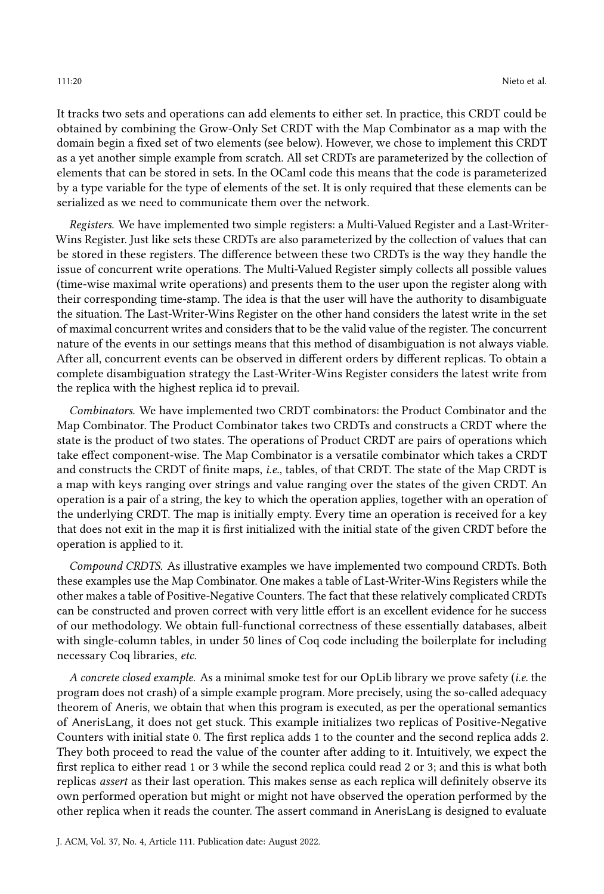It tracks two sets and operations can add elements to either set. In practice, this CRDT could be obtained by combining the Grow-Only Set CRDT with the Map Combinator as a map with the domain begin a fixed set of two elements (see below). However, we chose to implement this CRDT as a yet another simple example from scratch. All set CRDTs are parameterized by the collection of elements that can be stored in sets. In the OCaml code this means that the code is parameterized by a type variable for the type of elements of the set. It is only required that these elements can be serialized as we need to communicate them over the network.

Registers. We have implemented two simple registers: a Multi-Valued Register and a Last-Writer-Wins Register. Just like sets these CRDTs are also parameterized by the collection of values that can be stored in these registers. The difference between these two CRDTs is the way they handle the issue of concurrent write operations. The Multi-Valued Register simply collects all possible values (time-wise maximal write operations) and presents them to the user upon the register along with their corresponding time-stamp. The idea is that the user will have the authority to disambiguate the situation. The Last-Writer-Wins Register on the other hand considers the latest write in the set of maximal concurrent writes and considers that to be the valid value of the register. The concurrent nature of the events in our settings means that this method of disambiguation is not always viable. After all, concurrent events can be observed in different orders by different replicas. To obtain a complete disambiguation strategy the Last-Writer-Wins Register considers the latest write from the replica with the highest replica id to prevail.

Combinators. We have implemented two CRDT combinators: the Product Combinator and the Map Combinator. The Product Combinator takes two CRDTs and constructs a CRDT where the state is the product of two states. The operations of Product CRDT are pairs of operations which take effect component-wise. The Map Combinator is a versatile combinator which takes a CRDT and constructs the CRDT of finite maps, *i.e.*, tables, of that CRDT. The state of the Map CRDT is a map with keys ranging over strings and value ranging over the states of the given CRDT. An operation is a pair of a string, the key to which the operation applies, together with an operation of the underlying CRDT. The map is initially empty. Every time an operation is received for a key that does not exit in the map it is first initialized with the initial state of the given CRDT before the operation is applied to it.

Compound CRDTS. As illustrative examples we have implemented two compound CRDTs. Both these examples use the Map Combinator. One makes a table of Last-Writer-Wins Registers while the other makes a table of Positive-Negative Counters. The fact that these relatively complicated CRDTs can be constructed and proven correct with very little effort is an excellent evidence for he success of our methodology. We obtain full-functional correctness of these essentially databases, albeit with single-column tables, in under 50 lines of Coq code including the boilerplate for including necessary Coq libraries, etc.

A concrete closed example. As a minimal smoke test for our OpLib library we prove safety (i.e. the program does not crash) of a simple example program. More precisely, using the so-called adequacy theorem of Aneris, we obtain that when this program is executed, as per the operational semantics of AnerisLang, it does not get stuck. This example initializes two replicas of Positive-Negative Counters with initial state 0. The first replica adds 1 to the counter and the second replica adds 2. They both proceed to read the value of the counter after adding to it. Intuitively, we expect the first replica to either read 1 or 3 while the second replica could read 2 or 3; and this is what both replicas assert as their last operation. This makes sense as each replica will definitely observe its own performed operation but might or might not have observed the operation performed by the other replica when it reads the counter. The assert command in AnerisLang is designed to evaluate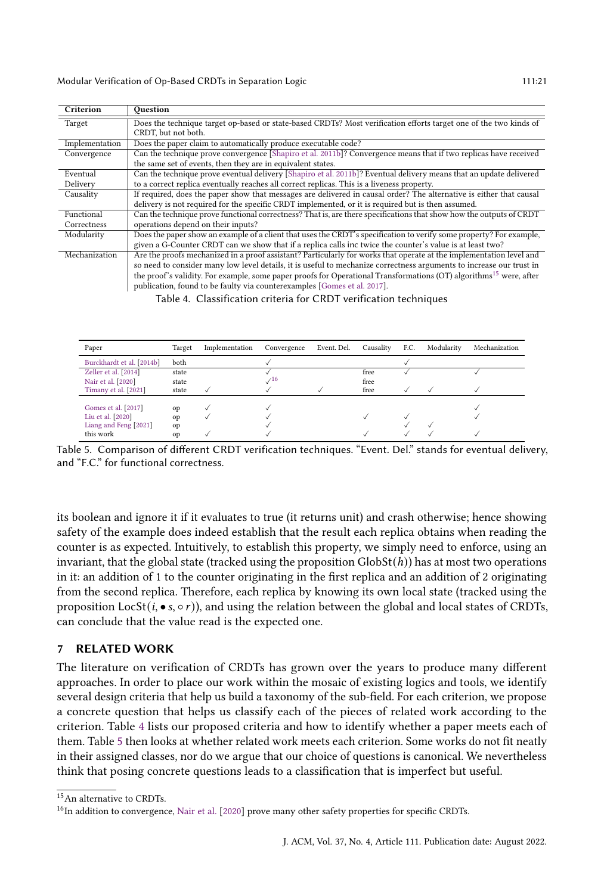<span id="page-20-3"></span>

| Criterion      | Ouestion                                                                                                                       |  |  |  |  |
|----------------|--------------------------------------------------------------------------------------------------------------------------------|--|--|--|--|
| Target         | Does the technique target op-based or state-based CRDTs? Most verification efforts target one of the two kinds of              |  |  |  |  |
|                | CRDT, but not both.                                                                                                            |  |  |  |  |
| Implementation | Does the paper claim to automatically produce executable code?                                                                 |  |  |  |  |
| Convergence    | Can the technique prove convergence [Shapiro et al. 2011b]? Convergence means that if two replicas have received               |  |  |  |  |
|                | the same set of events, then they are in equivalent states.                                                                    |  |  |  |  |
| Eventual       | Can the technique prove eventual delivery [Shapiro et al. 2011b]? Eventual delivery means that an update delivered             |  |  |  |  |
| Delivery       | to a correct replica eventually reaches all correct replicas. This is a liveness property.                                     |  |  |  |  |
| Causality      | If required, does the paper show that messages are delivered in causal order? The alternative is either that causal            |  |  |  |  |
|                | delivery is not required for the specific CRDT implemented, or it is required but is then assumed.                             |  |  |  |  |
| Functional     | Can the technique prove functional correctness? That is, are there specifications that show how the outputs of CRDT            |  |  |  |  |
| Correctness    | operations depend on their inputs?                                                                                             |  |  |  |  |
| Modularity     | Does the paper show an example of a client that uses the CRDT's specification to verify some property? For example,            |  |  |  |  |
|                | given a G-Counter CRDT can we show that if a replica calls inc twice the counter's value is at least two?                      |  |  |  |  |
| Mechanization  | Are the proofs mechanized in a proof assistant? Particularly for works that operate at the implementation level and            |  |  |  |  |
|                | so need to consider many low level details, it is useful to mechanize correctness arguments to increase our trust in           |  |  |  |  |
|                | the proof's validity. For example, some paper proofs for Operational Transformations (OT) algorithms <sup>15</sup> were, after |  |  |  |  |
|                | publication, found to be faulty via counterexamples [Gomes et al. 2017].                                                       |  |  |  |  |

Table 4. Classification criteria for CRDT verification techniques

<span id="page-20-4"></span>

| Paper                     | Target        | Implementation | Convergence        | Event. Del. | Causality | F.C. | Modularity | Mechanization |
|---------------------------|---------------|----------------|--------------------|-------------|-----------|------|------------|---------------|
| Burckhardt et al. [2014b] | both          |                |                    |             |           |      |            |               |
| Zeller et al. [2014]      | state         |                |                    |             | free      |      |            |               |
| Nair et al. [2020]        | state         |                | $\mathcal{N}^{16}$ |             | free      |      |            |               |
| Timany et al. [2021]      | state         |                |                    |             | free      |      |            |               |
|                           |               |                |                    |             |           |      |            |               |
| Gomes et al. [2017]       | op            |                |                    |             |           |      |            |               |
| Liu et al. [2020]         | op            |                |                    |             |           |      |            |               |
| Liang and Feng [2021]     | op            |                |                    |             |           |      |            |               |
| this work                 | <sub>on</sub> |                |                    |             |           |      |            |               |

Table 5. Comparison of different CRDT verification techniques. "Event. Del." stands for eventual delivery, and "F.C." for functional correctness.

its boolean and ignore it if it evaluates to true (it returns unit) and crash otherwise; hence showing safety of the example does indeed establish that the result each replica obtains when reading the counter is as expected. Intuitively, to establish this property, we simply need to enforce, using an invariant, that the global state (tracked using the proposition  $\text{GlobSt}(h)$ ) has at most two operations in it: an addition of 1 to the counter originating in the first replica and an addition of 2 originating from the second replica. Therefore, each replica by knowing its own local state (tracked using the proposition  $LocSt(i, \bullet s, \circ r)$ , and using the relation between the global and local states of CRDTs, can conclude that the value read is the expected one.

#### <span id="page-20-0"></span>7 RELATED WORK

The literature on verification of CRDTs has grown over the years to produce many different approaches. In order to place our work within the mosaic of existing logics and tools, we identify several design criteria that help us build a taxonomy of the sub-field. For each criterion, we propose a concrete question that helps us classify each of the pieces of related work according to the criterion. Table [4](#page-20-3) lists our proposed criteria and how to identify whether a paper meets each of them. Table [5](#page-20-4) then looks at whether related work meets each criterion. Some works do not fit neatly in their assigned classes, nor do we argue that our choice of questions is canonical. We nevertheless think that posing concrete questions leads to a classification that is imperfect but useful.

<span id="page-20-1"></span><sup>15</sup>An alternative to CRDTs.

<span id="page-20-2"></span><sup>&</sup>lt;sup>16</sup>In addition to convergence, [Nair et al.](#page-24-15) [\[2020\]](#page-24-15) prove many other safety properties for specific CRDTs.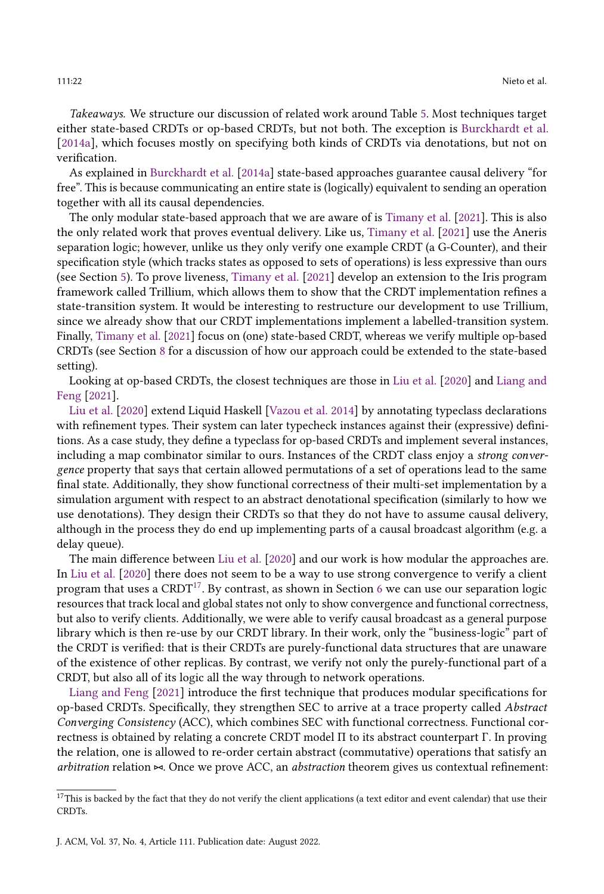Takeaways. We structure our discussion of related work around Table [5.](#page-20-4) Most techniques target either state-based CRDTs or op-based CRDTs, but not both. The exception is [Burckhardt et al.](#page-23-8) [\[2014a\]](#page-23-8), which focuses mostly on specifying both kinds of CRDTs via denotations, but not on verification.

As explained in [Burckhardt et al.](#page-23-8) [\[2014a\]](#page-23-8) state-based approaches guarantee causal delivery "for free". This is because communicating an entire state is (logically) equivalent to sending an operation together with all its causal dependencies.

The only modular state-based approach that we are aware of is [Timany et al.](#page-24-11) [\[2021\]](#page-24-11). This is also the only related work that proves eventual delivery. Like us, [Timany et al.](#page-24-11) [\[2021\]](#page-24-11) use the Aneris separation logic; however, unlike us they only verify one example CRDT (a G-Counter), and their specification style (which tracks states as opposed to sets of operations) is less expressive than ours (see Section [5\)](#page-13-0). To prove liveness, [Timany et al.](#page-24-11) [\[2021\]](#page-24-11) develop an extension to the Iris program framework called Trillium, which allows them to show that the CRDT implementation refines a state-transition system. It would be interesting to restructure our development to use Trillium, since we already show that our CRDT implementations implement a labelled-transition system. Finally, [Timany et al.](#page-24-11) [\[2021\]](#page-24-11) focus on (one) state-based CRDT, whereas we verify multiple op-based CRDTs (see Section [8](#page-22-0) for a discussion of how our approach could be extended to the state-based setting).

Looking at op-based CRDTs, the closest techniques are those in [Liu et al.](#page-24-8) [\[2020\]](#page-24-8) and [Liang and](#page-24-6) [Feng](#page-24-6) [\[2021\]](#page-24-6).

[Liu et al.](#page-24-8) [\[2020\]](#page-24-8) extend Liquid Haskell [\[Vazou et al.](#page-24-16) [2014\]](#page-24-16) by annotating typeclass declarations with refinement types. Their system can later typecheck instances against their (expressive) definitions. As a case study, they define a typeclass for op-based CRDTs and implement several instances, including a map combinator similar to ours. Instances of the CRDT class enjoy a strong convergence property that says that certain allowed permutations of a set of operations lead to the same final state. Additionally, they show functional correctness of their multi-set implementation by a simulation argument with respect to an abstract denotational specification (similarly to how we use denotations). They design their CRDTs so that they do not have to assume causal delivery, although in the process they do end up implementing parts of a causal broadcast algorithm (e.g. a delay queue).

The main difference between [Liu et al.](#page-24-8) [\[2020\]](#page-24-8) and our work is how modular the approaches are. In [Liu et al.](#page-24-8) [\[2020\]](#page-24-8) there does not seem to be a way to use strong convergence to verify a client program that uses a CRDT<sup>[17](#page-21-0)</sup>. By contrast, as shown in Section [6](#page-18-0) we can use our separation logic resources that track local and global states not only to show convergence and functional correctness, but also to verify clients. Additionally, we were able to verify causal broadcast as a general purpose library which is then re-use by our CRDT library. In their work, only the "business-logic" part of the CRDT is verified: that is their CRDTs are purely-functional data structures that are unaware of the existence of other replicas. By contrast, we verify not only the purely-functional part of a CRDT, but also all of its logic all the way through to network operations.

[Liang and Feng](#page-24-6) [\[2021\]](#page-24-6) introduce the first technique that produces modular specifications for op-based CRDTs. Specifically, they strengthen SEC to arrive at a trace property called Abstract Converging Consistency (ACC), which combines SEC with functional correctness. Functional correctness is obtained by relating a concrete CRDT model Π to its abstract counterpart Γ. In proving the relation, one is allowed to re-order certain abstract (commutative) operations that satisfy an arbitration relation ⊲⊳. Once we prove ACC, an abstraction theorem gives us contextual refinement:

<span id="page-21-0"></span> $17$ This is backed by the fact that they do not verify the client applications (a text editor and event calendar) that use their CRDTs.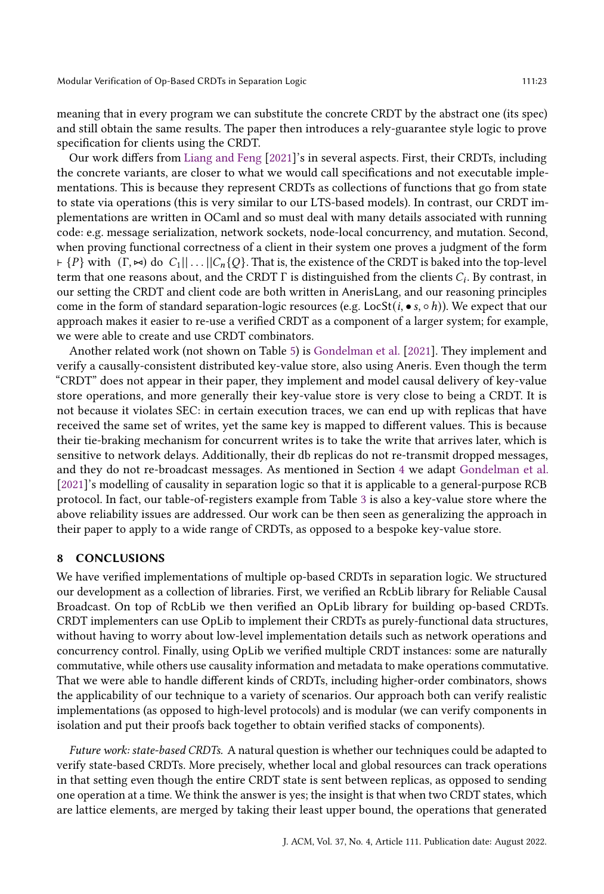meaning that in every program we can substitute the concrete CRDT by the abstract one (its spec) and still obtain the same results. The paper then introduces a rely-guarantee style logic to prove specification for clients using the CRDT.

Our work differs from [Liang and Feng](#page-24-6) [\[2021\]](#page-24-6)'s in several aspects. First, their CRDTs, including the concrete variants, are closer to what we would call specifications and not executable implementations. This is because they represent CRDTs as collections of functions that go from state to state via operations (this is very similar to our LTS-based models). In contrast, our CRDT implementations are written in OCaml and so must deal with many details associated with running code: e.g. message serialization, network sockets, node-local concurrency, and mutation. Second, when proving functional correctness of a client in their system one proves a judgment of the form  $\vdash \{P\}$  with  $(\Gamma, \Join)$  do  $C_1 || \dots || C_n \{Q\}$ . That is, the existence of the CRDT is baked into the top-level term that one reasons about, and the CRDT  $\Gamma$  is distinguished from the clients  $C_i$ . By contrast, in our setting the CRDT and client code are both written in AnerisLang, and our reasoning principles come in the form of standard separation-logic resources (e.g. LocSt( $i, \bullet s, \circ h$ )). We expect that our approach makes it easier to re-use a verified CRDT as a component of a larger system; for example, we were able to create and use CRDT combinators.

Another related work (not shown on Table [5\)](#page-20-4) is [Gondelman et al.](#page-23-11) [\[2021\]](#page-23-11). They implement and verify a causally-consistent distributed key-value store, also using Aneris. Even though the term "CRDT" does not appear in their paper, they implement and model causal delivery of key-value store operations, and more generally their key-value store is very close to being a CRDT. It is not because it violates SEC: in certain execution traces, we can end up with replicas that have received the same set of writes, yet the same key is mapped to different values. This is because their tie-braking mechanism for concurrent writes is to take the write that arrives later, which is sensitive to network delays. Additionally, their db replicas do not re-transmit dropped messages, and they do not re-broadcast messages. As mentioned in Section [4](#page-7-0) we adapt [Gondelman et al.](#page-23-11) [\[2021\]](#page-23-11)'s modelling of causality in separation logic so that it is applicable to a general-purpose RCB protocol. In fact, our table-of-registers example from Table [3](#page-18-1) is also a key-value store where the above reliability issues are addressed. Our work can be then seen as generalizing the approach in their paper to apply to a wide range of CRDTs, as opposed to a bespoke key-value store.

### <span id="page-22-0"></span>8 CONCLUSIONS

We have verified implementations of multiple op-based CRDTs in separation logic. We structured our development as a collection of libraries. First, we verified an RcbLib library for Reliable Causal Broadcast. On top of RcbLib we then verified an OpLib library for building op-based CRDTs. CRDT implementers can use OpLib to implement their CRDTs as purely-functional data structures, without having to worry about low-level implementation details such as network operations and concurrency control. Finally, using OpLib we verified multiple CRDT instances: some are naturally commutative, while others use causality information and metadata to make operations commutative. That we were able to handle different kinds of CRDTs, including higher-order combinators, shows the applicability of our technique to a variety of scenarios. Our approach both can verify realistic implementations (as opposed to high-level protocols) and is modular (we can verify components in isolation and put their proofs back together to obtain verified stacks of components).

Future work: state-based CRDTs. A natural question is whether our techniques could be adapted to verify state-based CRDTs. More precisely, whether local and global resources can track operations in that setting even though the entire CRDT state is sent between replicas, as opposed to sending one operation at a time. We think the answer is yes; the insight is that when two CRDT states, which are lattice elements, are merged by taking their least upper bound, the operations that generated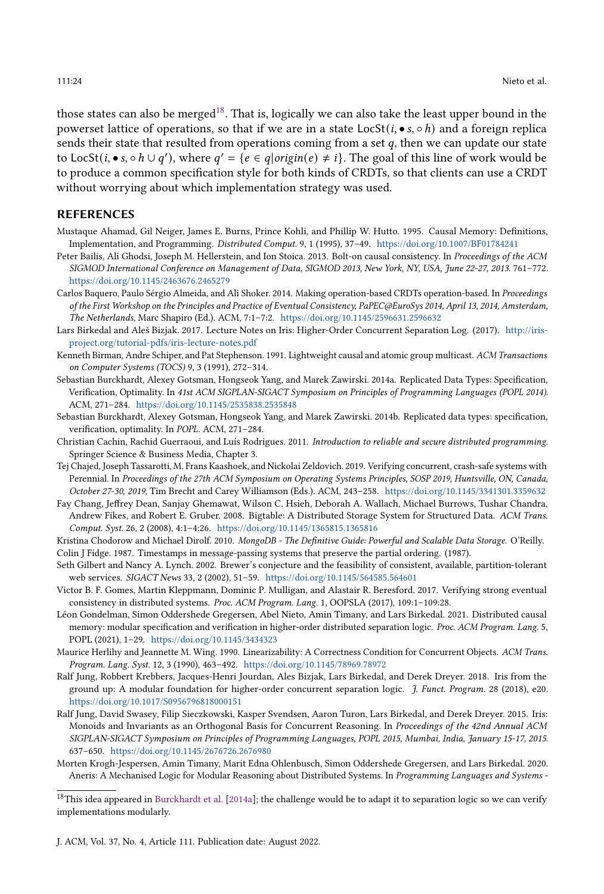those states can also be merged<sup>[18](#page-23-19)</sup>. That is, logically we can also take the least upper bound in the powerset lattice of operations, so that if we are in a state LocSt( $i, \bullet s, \circ h$ ) and a foreign replica sends their state that resulted from operations coming from a set  $q$ , then we can update our state to LocSt(*i*, • *s*, ∘ *h* ∪ *q'*), where  $q' = \{e \in q | origin(e) \neq i\}$ . The goal of this line of work would be to produce a common specification style for both kinds of CRDTs, so that clients can use a CRDT without worrying about which implementation strategy was used.

#### REFERENCES

- <span id="page-23-5"></span>Mustaque Ahamad, Gil Neiger, James E. Burns, Prince Kohli, and Phillip W. Hutto. 1995. Causal Memory: Definitions, Implementation, and Programming. Distributed Comput. 9, 1 (1995), 37–49. <https://doi.org/10.1007/BF01784241>
- <span id="page-23-2"></span>Peter Bailis, Ali Ghodsi, Joseph M. Hellerstein, and Ion Stoica. 2013. Bolt-on causal consistency. In Proceedings of the ACM SIGMOD International Conference on Management of Data, SIGMOD 2013, New York, NY, USA, June 22-27, 2013. 761–772. <https://doi.org/10.1145/2463676.2465279>
- <span id="page-23-6"></span>Carlos Baquero, Paulo Sérgio Almeida, and Ali Shoker. 2014. Making operation-based CRDTs operation-based. In Proceedings of the First Workshop on the Principles and Practice of Eventual Consistency, PaPEC@EuroSys 2014, April 13, 2014, Amsterdam, The Netherlands, Marc Shapiro (Ed.). ACM, 7:1–7:2. <https://doi.org/10.1145/2596631.2596632>
- <span id="page-23-16"></span>Lars Birkedal and Aleš Bizjak. 2017. Lecture Notes on Iris: Higher-Order Concurrent Separation Log. (2017). [http://iris](http://iris-project.org/tutorial-pdfs/iris-lecture-notes.pdf)[project.org/tutorial-pdfs/iris-lecture-notes.pdf](http://iris-project.org/tutorial-pdfs/iris-lecture-notes.pdf)
- <span id="page-23-12"></span>Kenneth Birman, Andre Schiper, and Pat Stephenson. 1991. Lightweight causal and atomic group multicast. ACM Transactions on Computer Systems (TOCS) 9, 3 (1991), 272–314.
- <span id="page-23-8"></span>Sebastian Burckhardt, Alexey Gotsman, Hongseok Yang, and Marek Zawirski. 2014a. Replicated Data Types: Specification, Verification, Optimality. In 41st ACM SIGPLAN-SIGACT Symposium on Principles of Programming Languages (POPL 2014). ACM, 271–284. <https://doi.org/10.1145/2535838.2535848>
- <span id="page-23-18"></span>Sebastian Burckhardt, Alexey Gotsman, Hongseok Yang, and Marek Zawirski. 2014b. Replicated data types: specification, verification, optimality. In POPL. ACM, 271–284.
- <span id="page-23-7"></span>Christian Cachin, Rachid Guerraoui, and Luís Rodrigues. 2011. Introduction to reliable and secure distributed programming. Springer Science & Business Media, Chapter 3.
- <span id="page-23-15"></span>Tej Chajed, Joseph Tassarotti, M. Frans Kaashoek, and Nickolai Zeldovich. 2019. Verifying concurrent, crash-safe systems with Perennial. In Proceedings of the 27th ACM Symposium on Operating Systems Principles, SOSP 2019, Huntsville, ON, Canada, October 27-30, 2019, Tim Brecht and Carey Williamson (Eds.). ACM, 243–258. <https://doi.org/10.1145/3341301.3359632>
- <span id="page-23-3"></span>Fay Chang, Jeffrey Dean, Sanjay Ghemawat, Wilson C. Hsieh, Deborah A. Wallach, Michael Burrows, Tushar Chandra, Andrew Fikes, and Robert E. Gruber. 2008. Bigtable: A Distributed Storage System for Structured Data. ACM Trans. Comput. Syst. 26, 2 (2008), 4:1–4:26. <https://doi.org/10.1145/1365815.1365816>
- <span id="page-23-13"></span><span id="page-23-4"></span>Kristina Chodorow and Michael Dirolf. 2010. MongoDB - The Definitive Guide: Powerful and Scalable Data Storage. O'Reilly. Colin J Fidge. 1987. Timestamps in message-passing systems that preserve the partial ordering. (1987).
- <span id="page-23-1"></span>Seth Gilbert and Nancy A. Lynch. 2002. Brewer's conjecture and the feasibility of consistent, available, partition-tolerant web services. SIGACT News 33, 2 (2002), 51–59. <https://doi.org/10.1145/564585.564601>
- <span id="page-23-17"></span>Victor B. F. Gomes, Martin Kleppmann, Dominic P. Mulligan, and Alastair R. Beresford. 2017. Verifying strong eventual consistency in distributed systems. Proc. ACM Program. Lang. 1, OOPSLA (2017), 109:1–109:28.
- <span id="page-23-11"></span>Léon Gondelman, Simon Oddershede Gregersen, Abel Nieto, Amin Timany, and Lars Birkedal. 2021. Distributed causal memory: modular specification and verification in higher-order distributed separation logic. Proc. ACM Program. Lang. 5, POPL (2021), 1–29. <https://doi.org/10.1145/3434323>
- <span id="page-23-0"></span>Maurice Herlihy and Jeannette M. Wing. 1990. Linearizability: A Correctness Condition for Concurrent Objects. ACM Trans. Program. Lang. Syst. 12, 3 (1990), 463–492. <https://doi.org/10.1145/78969.78972>
- <span id="page-23-10"></span>Ralf Jung, Robbert Krebbers, Jacques-Henri Jourdan, Ales Bizjak, Lars Birkedal, and Derek Dreyer. 2018. Iris from the ground up: A modular foundation for higher-order concurrent separation logic. J. Funct. Program. 28 (2018), e20. <https://doi.org/10.1017/S0956796818000151>
- <span id="page-23-14"></span>Ralf Jung, David Swasey, Filip Sieczkowski, Kasper Svendsen, Aaron Turon, Lars Birkedal, and Derek Dreyer. 2015. Iris: Monoids and Invariants as an Orthogonal Basis for Concurrent Reasoning. In Proceedings of the 42nd Annual ACM SIGPLAN-SIGACT Symposium on Principles of Programming Languages, POPL 2015, Mumbai, India, January 15-17, 2015. 637–650. <https://doi.org/10.1145/2676726.2676980>
- <span id="page-23-9"></span>Morten Krogh-Jespersen, Amin Timany, Marit Edna Ohlenbusch, Simon Oddershede Gregersen, and Lars Birkedal. 2020. Aneris: A Mechanised Logic for Modular Reasoning about Distributed Systems. In Programming Languages and Systems -

<span id="page-23-19"></span> $^{18}\rm{This}$ idea appeared in [Burckhardt et al.](#page-23-8) [\[2014a\]](#page-23-8); the challenge would be to adapt it to separation logic so we can verify implementations modularly.